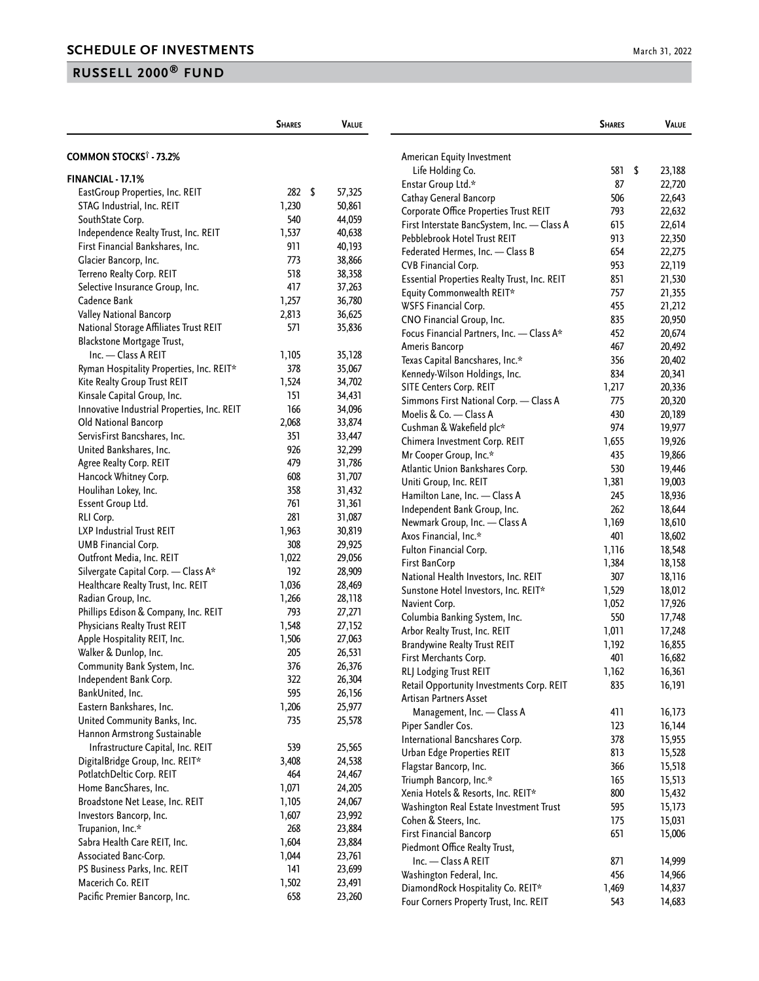|                                             | <b>SHARES</b> | <b>VALUE</b> |                                                                              | <b>SHARES</b> | <b>VALUE</b>     |  |
|---------------------------------------------|---------------|--------------|------------------------------------------------------------------------------|---------------|------------------|--|
| <b>COMMON STOCKS<sup>†</sup> - 73.2%</b>    |               |              | American Equity Investment                                                   |               |                  |  |
|                                             |               |              | Life Holding Co.                                                             | 581           | \$<br>23,188     |  |
| FINANCIAL - 17.1%                           |               |              | Enstar Group Ltd.*                                                           | 87            | 22,720           |  |
| EastGroup Properties, Inc. REIT             | \$<br>282     | 57,325       | Cathay General Bancorp                                                       | 506           | 22,643           |  |
| STAG Industrial, Inc. REIT                  | 1,230         | 50,861       | Corporate Office Properties Trust REIT                                       | 793           | 22,632           |  |
| SouthState Corp.                            | 540           | 44,059       | First Interstate BancSystem, Inc. - Class A                                  | 615           | 22,614           |  |
| Independence Realty Trust, Inc. REIT        | 1,537         | 40,638       | Pebblebrook Hotel Trust REIT                                                 | 913           | 22,350           |  |
| First Financial Bankshares, Inc.            | 911           | 40,193       | Federated Hermes, Inc. - Class B                                             | 654           | 22,275           |  |
| Glacier Bancorp, Inc.                       | 773           | 38,866       | CVB Financial Corp.                                                          | 953           | 22,119           |  |
| Terreno Realty Corp. REIT                   | 518           | 38,358       | Essential Properties Realty Trust, Inc. REIT                                 | 851           | 21,530           |  |
| Selective Insurance Group, Inc.             | 417           | 37,263       | Equity Commonwealth REIT*                                                    | 757           | 21,355           |  |
| Cadence Bank                                | 1,257         | 36,780       | WSFS Financial Corp.                                                         | 455           | 21,212           |  |
| Valley National Bancorp                     | 2,813         | 36,625       | CNO Financial Group, Inc.                                                    | 835           | 20,950           |  |
| National Storage Affiliates Trust REIT      | 571           | 35,836       | Focus Financial Partners, Inc. - Class A*                                    | 452           | 20,674           |  |
| Blackstone Mortgage Trust,                  |               |              | Ameris Bancorp                                                               | 467           | 20,492           |  |
| Inc. - Class A REIT                         | 1,105         | 35,128       | Texas Capital Bancshares, Inc.*                                              | 356           | 20,402           |  |
| Ryman Hospitality Properties, Inc. REIT*    | 378           | 35,067       | Kennedy-Wilson Holdings, Inc.                                                | 834           | 20,341           |  |
| Kite Realty Group Trust REIT                | 1,524         | 34,702       | SITE Centers Corp. REIT                                                      | 1,217         | 20,336           |  |
| Kinsale Capital Group, Inc.                 | 151           | 34,431       | Simmons First National Corp. - Class A                                       | 775           | 20,320           |  |
| Innovative Industrial Properties, Inc. REIT | 166           | 34,096       | Moelis & Co. - Class A                                                       | 430           | 20,189           |  |
| Old National Bancorp                        | 2,068         | 33,874       | Cushman & Wakefield plc*                                                     | 974           | 19,977           |  |
| ServisFirst Bancshares, Inc.                | 351           | 33,447       | Chimera Investment Corp. REIT                                                | 1,655         | 19,926           |  |
| United Bankshares, Inc.                     | 926           | 32,299       | Mr Cooper Group, Inc.*                                                       | 435           | 19,866           |  |
| Agree Realty Corp. REIT                     | 479           | 31,786       | Atlantic Union Bankshares Corp.                                              | 530           | 19,446           |  |
| Hancock Whitney Corp.                       | 608           | 31,707       | Uniti Group, Inc. REIT                                                       | 1,381         | 19,003           |  |
| Houlihan Lokey, Inc.                        | 358           | 31,432       | Hamilton Lane, Inc. - Class A                                                | 245           | 18,936           |  |
| Essent Group Ltd.                           | 761           | 31,361       | Independent Bank Group, Inc.                                                 | 262           | 18,644           |  |
| RLI Corp.                                   | 281           | 31,087       | Newmark Group, Inc. - Class A                                                | 1,169         | 18,610           |  |
| LXP Industrial Trust REIT                   | 1,963         | 30,819       | Axos Financial, Inc.*                                                        | 401           | 18,602           |  |
| UMB Financial Corp.                         | 308           | 29,925       | Fulton Financial Corp.                                                       | 1,116         | 18,548           |  |
| Outfront Media, Inc. REIT                   | 1,022         | 29,056       |                                                                              |               |                  |  |
| Silvergate Capital Corp. - Class A*         | 192           | 28,909       | First BanCorp                                                                | 1,384<br>307  | 18,158           |  |
| Healthcare Realty Trust, Inc. REIT          | 1,036         | 28,469       | National Health Investors, Inc. REIT<br>Sunstone Hotel Investors, Inc. REIT* |               | 18,116           |  |
| Radian Group, Inc.                          | 1,266         | 28,118       |                                                                              | 1,529         | 18,012<br>17,926 |  |
| Phillips Edison & Company, Inc. REIT        | 793           | 27,271       | Navient Corp.                                                                | 1,052<br>550  |                  |  |
| Physicians Realty Trust REIT                | 1,548         | 27,152       | Columbia Banking System, Inc.<br>Arbor Realty Trust, Inc. REIT               | 1,011         | 17,748<br>17,248 |  |
| Apple Hospitality REIT, Inc.                | 1,506         | 27,063       |                                                                              | 1,192         | 16,855           |  |
| Walker & Dunlop, Inc.                       | 205           | 26,531       | <b>Brandywine Realty Trust REIT</b>                                          | 401           |                  |  |
| Community Bank System, Inc.                 | 376           | 26,376       | First Merchants Corp.<br>RLJ Lodging Trust REIT                              |               | 16,682<br>16,361 |  |
| Independent Bank Corp.                      | 322           | 26,304       | Retail Opportunity Investments Corp. REIT                                    | 1,162<br>835  | 16,191           |  |
| BankUnited, Inc.                            | 595           | 26,156       | Artisan Partners Asset                                                       |               |                  |  |
| Eastern Bankshares, Inc.                    | 1,206         | 25,977       |                                                                              | 411           | 16,173           |  |
| United Community Banks, Inc.                | 735           | 25,578       | Management, Inc. - Class A                                                   | 123           |                  |  |
| Hannon Armstrong Sustainable                |               |              | Piper Sandler Cos.                                                           | 378           | 16,144           |  |
| Infrastructure Capital, Inc. REIT           | 539           | 25,565       | International Bancshares Corp.                                               |               | 15,955           |  |
| DigitalBridge Group, Inc. REIT*             | 3,408         | 24,538       | Urban Edge Properties REIT                                                   | 813<br>366    | 15,528           |  |
| PotlatchDeltic Corp. REIT                   | 464           | 24,467       | Flagstar Bancorp, Inc.                                                       |               | 15,518           |  |
| Home BancShares, Inc.                       | 1,071         | 24,205       | Triumph Bancorp, Inc.*<br>Xenia Hotels & Resorts, Inc. REIT*                 | 165<br>800    | 15,513           |  |
| Broadstone Net Lease, Inc. REIT             | 1,105         | 24,067       |                                                                              |               | 15,432           |  |
| Investors Bancorp, Inc.                     | 1,607         | 23,992       | Washington Real Estate Investment Trust                                      | 595           | 15,173           |  |
| Trupanion, Inc.*                            | 268           | 23,884       | Cohen & Steers, Inc.                                                         | 175           | 15,031           |  |
| Sabra Health Care REIT, Inc.                | 1,604         | 23,884       | <b>First Financial Bancorp</b>                                               | 651           | 15,006           |  |
| Associated Banc-Corp.                       | 1,044         | 23,761       | Piedmont Office Realty Trust,                                                |               |                  |  |
| PS Business Parks, Inc. REIT                | 141           | 23,699       | Inc. - Class A REIT                                                          | 871           | 14,999           |  |
| Macerich Co. REIT                           | 1,502         | 23,491       | Washington Federal, Inc.                                                     | 456           | 14,966           |  |
| Pacific Premier Bancorp, Inc.               | 658           | 23,260       | DiamondRock Hospitality Co. REIT*<br>Four Corners Property Trust, Inc. REIT  | 1,469<br>543  | 14,837<br>14,683 |  |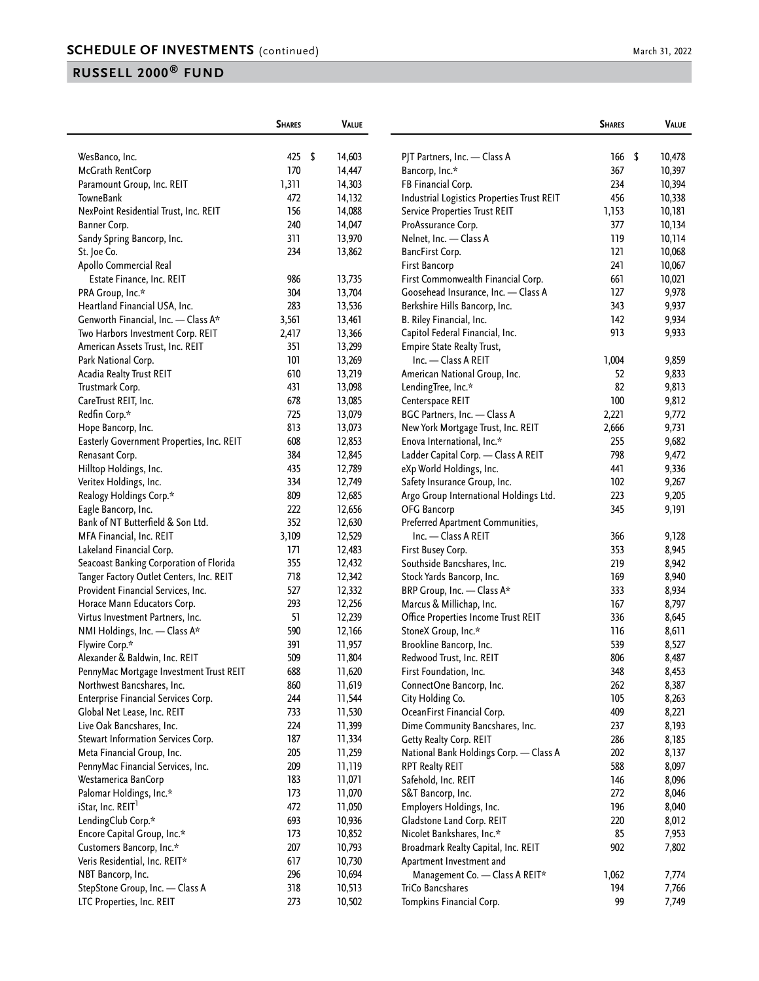|                                           | <b>SHARES</b> | <b>VALUE</b> |                                            | <b>SHARES</b> | VALUE        |
|-------------------------------------------|---------------|--------------|--------------------------------------------|---------------|--------------|
| WesBanco, Inc.                            | 425           | \$<br>14,603 | PJT Partners, Inc. - Class A               | 166           | \$<br>10,478 |
| McGrath RentCorp                          | 170           | 14,447       | Bancorp, Inc.*                             | 367           | 10,397       |
| Paramount Group, Inc. REIT                | 1,311         | 14,303       | FB Financial Corp.                         | 234           | 10,394       |
| TowneBank                                 | 472           | 14,132       | Industrial Logistics Properties Trust REIT | 456           | 10,338       |
| NexPoint Residential Trust, Inc. REIT     | 156           | 14,088       | Service Properties Trust REIT              | 1,153         | 10,181       |
| Banner Corp.                              | 240           | 14,047       | ProAssurance Corp.                         | 377           | 10,134       |
| Sandy Spring Bancorp, Inc.                | 311           | 13,970       | Nelnet, Inc. - Class A                     | 119           | 10,114       |
| St. Joe Co.                               | 234           | 13,862       | BancFirst Corp.                            | 121           | 10,068       |
| Apollo Commercial Real                    |               |              | First Bancorp                              | 241           | 10,067       |
| Estate Finance, Inc. REIT                 | 986           | 13,735       | First Commonwealth Financial Corp.         | 661           | 10,021       |
| PRA Group, Inc.*                          | 304           | 13,704       | Goosehead Insurance, Inc. - Class A        | 127           | 9,978        |
| Heartland Financial USA, Inc.             | 283           | 13,536       | Berkshire Hills Bancorp, Inc.              | 343           | 9,937        |
| Genworth Financial, Inc. - Class A*       | 3,561         | 13,461       | B. Riley Financial, Inc.                   | 142           | 9,934        |
| Two Harbors Investment Corp. REIT         | 2,417         | 13,366       | Capitol Federal Financial, Inc.            | 913           | 9,933        |
| American Assets Trust, Inc. REIT          | 351           | 13,299       | Empire State Realty Trust,                 |               |              |
| Park National Corp.                       | 101           | 13,269       | Inc. - Class A REIT                        | 1,004         | 9,859        |
| Acadia Realty Trust REIT                  | 610           | 13,219       | American National Group, Inc.              | 52            | 9,833        |
| Trustmark Corp.                           | 431           | 13,098       | LendingTree, Inc.*                         | 82            | 9,813        |
| CareTrust REIT, Inc.                      | 678           | 13,085       | Centerspace REIT                           | 100           | 9,812        |
| Redfin Corp.*                             | 725           | 13,079       | BGC Partners, Inc. - Class A               | 2,221         | 9,772        |
| Hope Bancorp, Inc.                        | 813           | 13,073       | New York Mortgage Trust, Inc. REIT         | 2,666         | 9,731        |
| Easterly Government Properties, Inc. REIT | 608           | 12,853       | Enova International, Inc.*                 | 255           | 9,682        |
| Renasant Corp.                            | 384           | 12,845       | Ladder Capital Corp. - Class A REIT        | 798           | 9,472        |
| Hilltop Holdings, Inc.                    | 435           | 12,789       | eXp World Holdings, Inc.                   | 441           | 9,336        |
| Veritex Holdings, Inc.                    | 334           | 12,749       | Safety Insurance Group, Inc.               | 102           | 9,267        |
| Realogy Holdings Corp.*                   | 809           | 12,685       | Argo Group International Holdings Ltd.     | 223           | 9,205        |
| Eagle Bancorp, Inc.                       | 222           | 12,656       | OFG Bancorp                                | 345           | 9,191        |
| Bank of NT Butterfield & Son Ltd.         | 352           | 12,630       | Preferred Apartment Communities,           |               |              |
| MFA Financial, Inc. REIT                  | 3,109         | 12,529       | Inc. - Class A REIT                        | 366           | 9,128        |
| Lakeland Financial Corp.                  | 171           | 12,483       | First Busey Corp.                          | 353           | 8,945        |
| Seacoast Banking Corporation of Florida   | 355           | 12,432       | Southside Bancshares, Inc.                 | 219           | 8,942        |
| Tanger Factory Outlet Centers, Inc. REIT  | 718           | 12,342       | Stock Yards Bancorp, Inc.                  | 169           | 8,940        |
| Provident Financial Services, Inc.        | 527           | 12,332       | BRP Group, Inc. - Class A*                 | 333           | 8,934        |
| Horace Mann Educators Corp.               | 293           | 12,256       | Marcus & Millichap, Inc.                   | 167           | 8,797        |
| Virtus Investment Partners, Inc.          | 51            | 12,239       | Office Properties Income Trust REIT        | 336           | 8,645        |
| NMI Holdings, Inc. - Class A*             | 590           | 12,166       | StoneX Group, Inc.*                        | 116           | 8,611        |
| Flywire Corp.*                            | 391           | 11,957       | Brookline Bancorp, Inc.                    | 539           | 8,527        |
| Alexander & Baldwin, Inc. REIT            | 509           | 11,804       | Redwood Trust, Inc. REIT                   | 806           | 8,487        |
| PennyMac Mortgage Investment Trust REIT   | 688           | 11,620       | First Foundation, Inc.                     | 348           | 8,453        |
| Northwest Bancshares, Inc.                | 860           | 11,619       | ConnectOne Bancorp, Inc.                   | 262           | 8,387        |
| Enterprise Financial Services Corp.       | 244           | 11,544       | City Holding Co.                           | 105           | 8,263        |
| Global Net Lease, Inc. REIT               | 733           | 11,530       | OceanFirst Financial Corp.                 | 409           | 8,221        |
| Live Oak Bancshares, Inc.                 | 224           | 11,399       | Dime Community Bancshares, Inc.            | 237           | 8,193        |
| Stewart Information Services Corp.        | 187           | 11,334       | Getty Realty Corp. REIT                    | 286           | 8,185        |
| Meta Financial Group, Inc.                | 205           | 11,259       | National Bank Holdings Corp. - Class A     | 202           | 8,137        |
| PennyMac Financial Services, Inc.         | 209           | 11,119       | RPT Realty REIT                            | 588           | 8,097        |
| Westamerica BanCorp                       | 183           | 11,071       | Safehold, Inc. REIT                        | 146           | 8,096        |
| Palomar Holdings, Inc.*                   | 173           | 11,070       | S&T Bancorp, Inc.                          | 272           | 8,046        |
| iStar, Inc. REIT <sup>1</sup>             | 472           | 11,050       | Employers Holdings, Inc.                   | 196           | 8,040        |
| LendingClub Corp.*                        | 693           | 10,936       | Gladstone Land Corp. REIT                  | 220           | 8,012        |
| Encore Capital Group, Inc.*               | 173           | 10,852       | Nicolet Bankshares, Inc.*                  | 85            | 7,953        |
| Customers Bancorp, Inc.*                  | 207           | 10,793       | Broadmark Realty Capital, Inc. REIT        | 902           | 7,802        |
| Veris Residential, Inc. REIT*             | 617           | 10,730       | Apartment Investment and                   |               |              |
| NBT Bancorp, Inc.                         | 296           | 10,694       | Management Co. - Class A REIT*             | 1,062         | 7,774        |
| StepStone Group, Inc. - Class A           | 318           | 10,513       | TriCo Bancshares                           | 194           | 7,766        |
| LTC Properties, Inc. REIT                 | 273           | 10,502       | Tompkins Financial Corp.                   | 99            | 7,749        |
|                                           |               |              |                                            |               |              |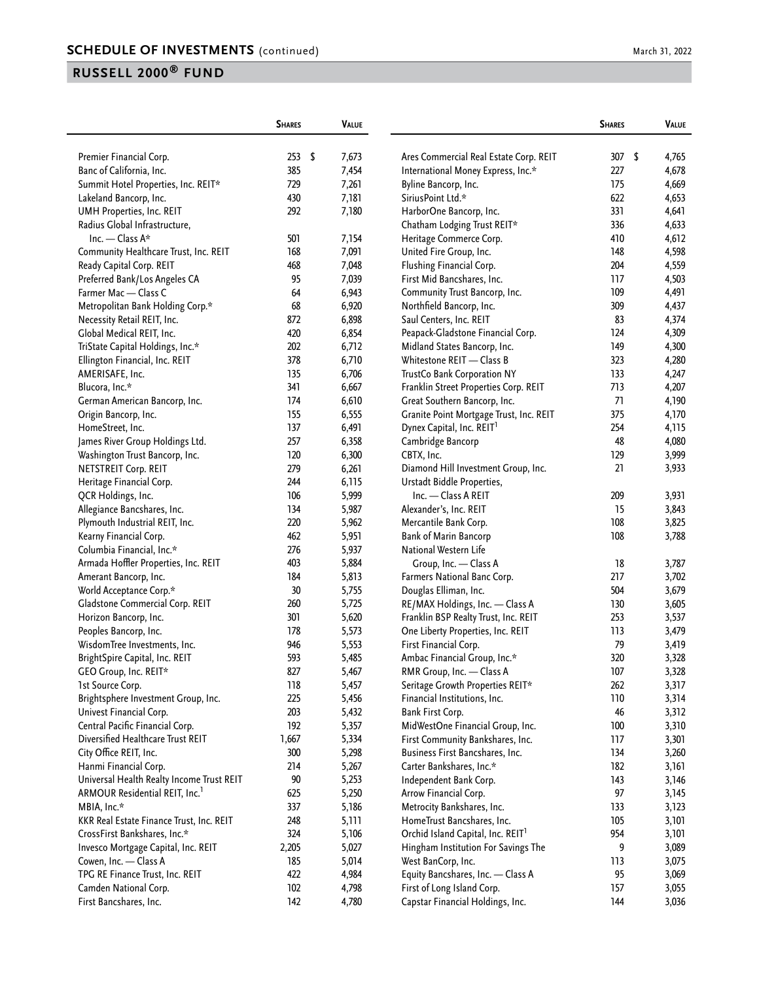|  | March 31, 2022 |  |  |
|--|----------------|--|--|
|--|----------------|--|--|

|                                                     | <b>SHARES</b> | <b>VALUE</b>   |                                               | <b>SHARES</b> | VALUE          |
|-----------------------------------------------------|---------------|----------------|-----------------------------------------------|---------------|----------------|
| Premier Financial Corp.                             | 253<br>-\$    | 7,673          | Ares Commercial Real Estate Corp. REIT        | 307           | \$<br>4,765    |
| Banc of California, Inc.                            | 385           | 7,454          | International Money Express, Inc.*            | 227           | 4,678          |
| Summit Hotel Properties, Inc. REIT*                 | 729           | 7,261          | Byline Bancorp, Inc.                          | 175           | 4,669          |
|                                                     | 430           |                | SiriusPoint Ltd.*                             | 622           |                |
| Lakeland Bancorp, Inc.                              | 292           | 7,181          |                                               | 331           | 4,653          |
| UMH Properties, Inc. REIT                           |               | 7,180          | HarborOne Bancorp, Inc.                       |               | 4,641          |
| Radius Global Infrastructure,<br>Inc. - Class $A^*$ |               |                | Chatham Lodging Trust REIT*                   | 336           | 4,633          |
|                                                     | 501           | 7,154          | Heritage Commerce Corp.                       | 410           | 4,612          |
| Community Healthcare Trust, Inc. REIT               | 168           | 7,091          | United Fire Group, Inc.                       | 148           | 4,598          |
| Ready Capital Corp. REIT                            | 468           | 7,048          | Flushing Financial Corp.                      | 204           | 4,559          |
| Preferred Bank/Los Angeles CA                       | 95            | 7,039          | First Mid Bancshares, Inc.                    | 117           | 4,503          |
| Farmer Mac - Class C                                | 64            | 6,943          | Community Trust Bancorp, Inc.                 | 109           | 4,491          |
| Metropolitan Bank Holding Corp.*                    | 68            | 6,920          | Northfield Bancorp, Inc.                      | 309           | 4,437          |
| Necessity Retail REIT, Inc.                         | 872           | 6,898          | Saul Centers, Inc. REIT                       | 83            | 4,374          |
| Global Medical REIT, Inc.                           | 420           | 6,854          | Peapack-Gladstone Financial Corp.             | 124           | 4,309          |
| TriState Capital Holdings, Inc.*                    | 202           | 6,712          | Midland States Bancorp, Inc.                  | 149           | 4,300          |
| Ellington Financial, Inc. REIT                      | 378           | 6,710          | Whitestone REIT - Class B                     | 323           | 4,280          |
| AMERISAFE, Inc.                                     | 135           | 6,706          | TrustCo Bank Corporation NY                   | 133           | 4,247          |
| Blucora, Inc.*                                      | 341           | 6,667          | Franklin Street Properties Corp. REIT         | 713           | 4,207          |
| German American Bancorp, Inc.                       | 174           | 6,610          | Great Southern Bancorp, Inc.                  | 71            | 4,190          |
| Origin Bancorp, Inc.                                | 155           | 6,555          | Granite Point Mortgage Trust, Inc. REIT       | 375           | 4,170          |
| HomeStreet, Inc.                                    | 137           | 6,491          | Dynex Capital, Inc. REIT <sup>1</sup>         | 254           | 4,115          |
| James River Group Holdings Ltd.                     | 257           | 6,358          | Cambridge Bancorp                             | 48            | 4,080          |
| Washington Trust Bancorp, Inc.                      | 120           | 6,300          | CBTX, Inc.                                    | 129           | 3,999          |
| NETSTREIT Corp. REIT                                | 279           | 6,261          | Diamond Hill Investment Group, Inc.           | 21            | 3,933          |
| Heritage Financial Corp.                            | 244           | 6,115          | Urstadt Biddle Properties,                    |               |                |
| QCR Holdings, Inc.                                  | 106           | 5,999          | Inc. - Class A REIT                           | 209           | 3,931          |
| Allegiance Bancshares, Inc.                         | 134           | 5,987          | Alexander's, Inc. REIT                        | 15            | 3,843          |
| Plymouth Industrial REIT, Inc.                      | 220           | 5,962          | Mercantile Bank Corp.                         | 108           | 3,825          |
| Kearny Financial Corp.                              | 462           | 5,951          | Bank of Marin Bancorp                         | 108           | 3,788          |
| Columbia Financial, Inc.*                           | 276           | 5,937          | National Western Life                         |               |                |
| Armada Hoffler Properties, Inc. REIT                | 403           | 5,884          | Group, Inc. - Class A                         | 18            | 3,787          |
| Amerant Bancorp, Inc.                               | 184           | 5,813          | Farmers National Banc Corp.                   | 217           | 3,702          |
| World Acceptance Corp.*                             | 30            | 5,755          | Douglas Elliman, Inc.                         | 504           | 3,679          |
| Gladstone Commercial Corp. REIT                     | 260           | 5,725          | RE/MAX Holdings, Inc. - Class A               | 130           | 3,605          |
| Horizon Bancorp, Inc.                               | 301           | 5,620          | Franklin BSP Realty Trust, Inc. REIT          | 253           | 3,537          |
| Peoples Bancorp, Inc.                               | 178           | 5,573          | One Liberty Properties, Inc. REIT             | 113           | 3,479          |
| WisdomTree Investments, Inc.                        | 946           | 5,553          | First Financial Corp.                         | 79            | 3,419          |
| BrightSpire Capital, Inc. REIT                      | 593           | 5,485          | Ambac Financial Group, Inc.*                  | 320           | 3,328          |
| GEO Group, Inc. REIT*                               | 827           | 5,467          | RMR Group, Inc. - Class A                     | 107           | 3,328          |
| 1st Source Corp.                                    | 118           | 5,457          | Seritage Growth Properties REIT*              | 262           | 3,317          |
| Brightsphere Investment Group, Inc.                 | 225           | 5,456          | Financial Institutions, Inc.                  | 110           | 3,314          |
| Univest Financial Corp.                             | 203           | 5,432          | Bank First Corp.                              | 46            | 3,312          |
| Central Pacific Financial Corp.                     | 192           | 5,357          | MidWestOne Financial Group, Inc.              | 100           | 3,310          |
| Diversified Healthcare Trust REIT                   | 1,667         | 5,334          | First Community Bankshares, Inc.              | 117           | 3,301          |
| City Office REIT, Inc.                              | 300           | 5,298          | Business First Bancshares, Inc.               | 134           | 3,260          |
| Hanmi Financial Corp.                               | 214           | 5,267          | Carter Bankshares, Inc.*                      | 182           | 3,161          |
| Universal Health Realty Income Trust REIT           | $90\,$        | 5,253          | Independent Bank Corp.                        | 143           | 3,146          |
| ARMOUR Residential REIT, Inc.                       | 625           | 5,250          | Arrow Financial Corp.                         | 97            | 3,145          |
| MBIA, Inc.*                                         | 337           | 5,186          | Metrocity Bankshares, Inc.                    | 133           | 3,123          |
| KKR Real Estate Finance Trust, Inc. REIT            | 248           | 5,111          | HomeTrust Bancshares, Inc.                    | 105           | 3,101          |
| CrossFirst Bankshares, Inc.*                        | 324           | 5,106          | Orchid Island Capital, Inc. REIT <sup>1</sup> | 954           | 3,101          |
| Invesco Mortgage Capital, Inc. REIT                 | 2,205         | 5,027          | Hingham Institution For Savings The           | 9             | 3,089          |
| Cowen, Inc. - Class A                               | 185           | 5,014          | West BanCorp, Inc.                            | 113           | 3,075          |
| TPG RE Finance Trust, Inc. REIT                     | 422           | 4,984          | Equity Bancshares, Inc. - Class A             | 95            | 3,069          |
| Camden National Corp.                               | 102           |                | First of Long Island Corp.                    | 157           |                |
| First Bancshares, Inc.                              | 142           | 4,798<br>4,780 | Capstar Financial Holdings, Inc.              | 144           | 3,055<br>3,036 |
|                                                     |               |                |                                               |               |                |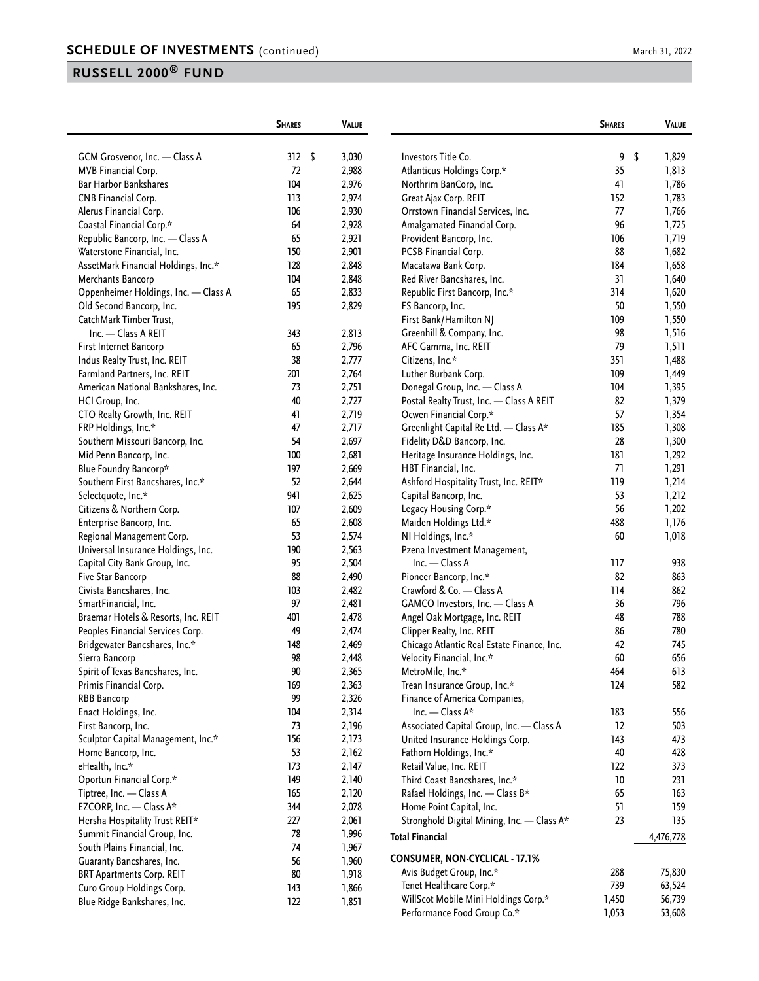| March 31, 2022 |  |  |  |
|----------------|--|--|--|
|----------------|--|--|--|

|                                      | <b>SHARES</b> | <b>VALUE</b> |                                            | <b>SHARES</b> | VALUE       |
|--------------------------------------|---------------|--------------|--------------------------------------------|---------------|-------------|
| GCM Grosvenor, Inc. - Class A        | 312S          | 3,030        | Investors Title Co.                        | 9             | \$<br>1,829 |
| MVB Financial Corp.                  | 72            | 2,988        | Atlanticus Holdings Corp.*                 | 35            | 1,813       |
| <b>Bar Harbor Bankshares</b>         | 104           | 2,976        | Northrim BanCorp, Inc.                     | 41            | 1,786       |
| CNB Financial Corp.                  | 113           | 2,974        | Great Ajax Corp. REIT                      | 152           | 1,783       |
| Alerus Financial Corp.               | 106           | 2,930        | Orrstown Financial Services, Inc.          | 77            | 1,766       |
| Coastal Financial Corp.*             | 64            | 2,928        | Amalgamated Financial Corp.                | 96            | 1,725       |
| Republic Bancorp, Inc. - Class A     | 65            | 2,921        | Provident Bancorp, Inc.                    | 106           | 1,719       |
| Waterstone Financial, Inc.           | 150           | 2,901        | PCSB Financial Corp.                       | 88            | 1,682       |
| AssetMark Financial Holdings, Inc.*  | 128           | 2,848        | Macatawa Bank Corp.                        | 184           | 1,658       |
| Merchants Bancorp                    | 104           | 2,848        | Red River Bancshares, Inc.                 | 31            | 1,640       |
| Oppenheimer Holdings, Inc. - Class A | 65            | 2,833        | Republic First Bancorp, Inc.*              | 314           | 1,620       |
| Old Second Bancorp, Inc.             | 195           | 2,829        | FS Bancorp, Inc.                           | 50            | 1,550       |
| CatchMark Timber Trust,              |               |              | First Bank/Hamilton NJ                     | 109           | 1,550       |
| Inc. - Class A REIT                  | 343           | 2,813        | Greenhill & Company, Inc.                  | 98            | 1,516       |
| First Internet Bancorp               | 65            | 2,796        | AFC Gamma, Inc. REIT                       | 79            | 1,511       |
|                                      |               |              |                                            | 351           | 1,488       |
| Indus Realty Trust, Inc. REIT        | 38            | 2,777        | Citizens, Inc.*                            |               |             |
| Farmland Partners, Inc. REIT         | 201           | 2,764        | Luther Burbank Corp.                       | 109           | 1,449       |
| American National Bankshares, Inc.   | 73            | 2,751        | Donegal Group, Inc. - Class A              | 104           | 1,395       |
| HCI Group, Inc.                      | 40            | 2,727        | Postal Realty Trust, Inc. - Class A REIT   | 82            | 1,379       |
| CTO Realty Growth, Inc. REIT         | 41            | 2,719        | Ocwen Financial Corp.*                     | 57            | 1,354       |
| FRP Holdings, Inc.*                  | 47            | 2,717        | Greenlight Capital Re Ltd. - Class A*      | 185           | 1,308       |
| Southern Missouri Bancorp, Inc.      | 54            | 2,697        | Fidelity D&D Bancorp, Inc.                 | 28            | 1,300       |
| Mid Penn Bancorp, Inc.               | 100           | 2,681        | Heritage Insurance Holdings, Inc.          | 181           | 1,292       |
| Blue Foundry Bancorp*                | 197           | 2,669        | HBT Financial, Inc.                        | 71            | 1,291       |
| Southern First Bancshares, Inc.*     | 52            | 2,644        | Ashford Hospitality Trust, Inc. REIT*      | 119           | 1,214       |
| Selectquote, Inc.*                   | 941           | 2,625        | Capital Bancorp, Inc.                      | 53            | 1,212       |
| Citizens & Northern Corp.            | 107           | 2,609        | Legacy Housing Corp.*                      | 56            | 1,202       |
| Enterprise Bancorp, Inc.             | 65            | 2,608        | Maiden Holdings Ltd.*                      | 488           | 1,176       |
| Regional Management Corp.            | 53            | 2,574        | NI Holdings, Inc.*                         | 60            | 1,018       |
| Universal Insurance Holdings, Inc.   | 190           | 2,563        | Pzena Investment Management,               |               |             |
| Capital City Bank Group, Inc.        | 95            | 2,504        | Inc. - Class A                             | 117           | 938         |
| Five Star Bancorp                    | 88            | 2,490        | Pioneer Bancorp, Inc.*                     | 82            | 863         |
| Civista Bancshares, Inc.             | 103           | 2,482        | Crawford & Co. - Class A                   | 114           | 862         |
| SmartFinancial, Inc.                 | 97            | 2,481        | GAMCO Investors, Inc. - Class A            | 36            | 796         |
| Braemar Hotels & Resorts, Inc. REIT  | 401           | 2,478        | Angel Oak Mortgage, Inc. REIT              | 48            | 788         |
| Peoples Financial Services Corp.     | 49            | 2,474        | Clipper Realty, Inc. REIT                  | 86            | 780         |
| Bridgewater Bancshares, Inc.*        | 148           | 2,469        | Chicago Atlantic Real Estate Finance, Inc. | 42            | 745         |
| Sierra Bancorp                       | 98            | 2,448        | Velocity Financial, Inc.*                  | 60            | 656         |
| Spirit of Texas Bancshares, Inc.     | $90\,$        | 2,365        | MetroMile, Inc.*                           | 464           | 613         |
| Primis Financial Corp.               | 169           | 2,363        | Trean Insurance Group, Inc.*               | 124           | 582         |
| <b>RBB Bancorp</b>                   | 99            | 2,326        | Finance of America Companies,              |               |             |
| Enact Holdings, Inc.                 | 104           | 2,314        | Inc. - Class A*                            | 183           | 556         |
| First Bancorp, Inc.                  | 73            | 2,196        | Associated Capital Group, Inc. - Class A   | 12            | 503         |
| Sculptor Capital Management, Inc.*   | 156           | 2,173        | United Insurance Holdings Corp.            | 143           | 473         |
| Home Bancorp, Inc.                   | 53            | 2,162        | Fathom Holdings, Inc.*                     | 40            | 428         |
| eHealth, Inc.*                       | 173           | 2,147        | Retail Value, Inc. REIT                    | 122           | 373         |
| Oportun Financial Corp.*             | 149           | 2,140        | Third Coast Bancshares, Inc.*              | 10            | 231         |
| Tiptree, Inc. - Class A              | 165           | 2,120        | Rafael Holdings, Inc. - Class B*           | 65            | 163         |
| EZCORP, Inc. - Class A*              | 344           | 2,078        | Home Point Capital, Inc.                   | 51            | 159         |
| Hersha Hospitality Trust REIT*       | 227           | 2,061        | Stronghold Digital Mining, Inc. - Class A* | 23            | 135         |
| Summit Financial Group, Inc.         | 78            | 1,996        | <b>Total Financial</b>                     |               | 4,476,778   |
| South Plains Financial, Inc.         | 74            | 1,967        |                                            |               |             |
| Guaranty Bancshares, Inc.            | 56            | 1,960        | <b>CONSUMER, NON-CYCLICAL - 17.1%</b>      |               |             |
| <b>BRT Apartments Corp. REIT</b>     | 80            | 1,918        | Avis Budget Group, Inc.*                   | 288           | 75,830      |
| Curo Group Holdings Corp.            | 143           | 1,866        | Tenet Healthcare Corp.*                    | 739           | 63,524      |
| Blue Ridge Bankshares, Inc.          | 122           | 1,851        | WillScot Mobile Mini Holdings Corp.*       | 1,450         | 56,739      |
|                                      |               |              | Performance Food Group Co.*                | 1,053         | 53,608      |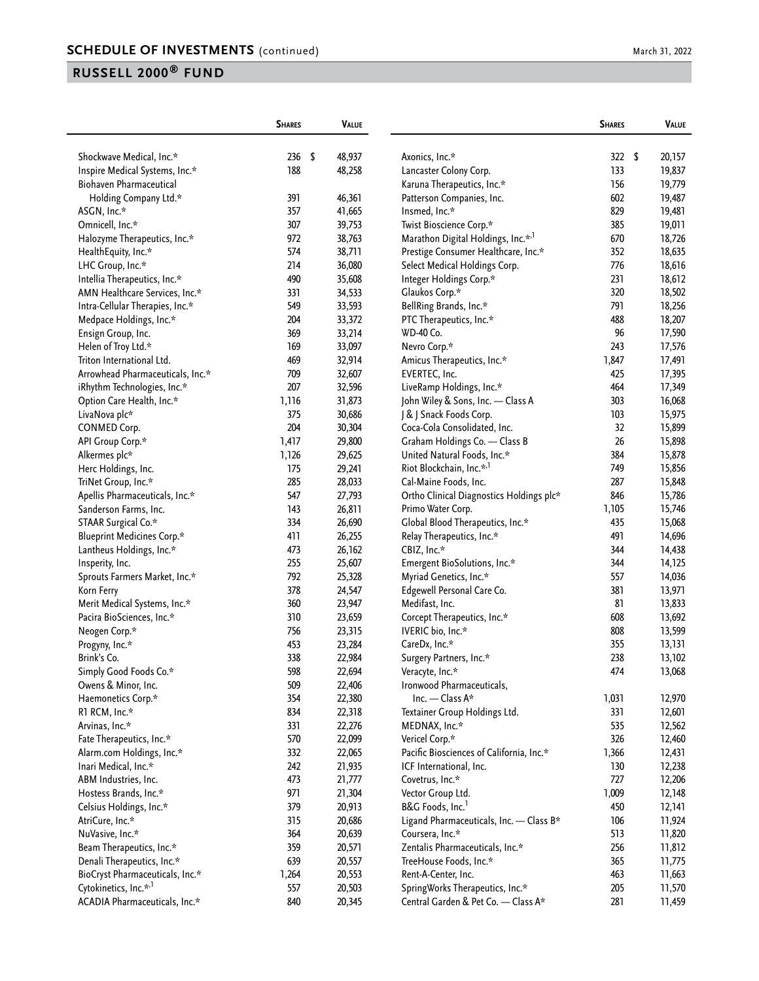|                                   | <b>SHARES</b> | <b>VALUE</b>     |                                          | <b>SHARES</b> | VALUE        |
|-----------------------------------|---------------|------------------|------------------------------------------|---------------|--------------|
| Shockwave Medical, Inc.*          | 236           | \$<br>48,937     | Axonics, Inc.*                           | 322           | \$<br>20,157 |
| Inspire Medical Systems, Inc.*    | 188           | 48,258           | Lancaster Colony Corp.                   | 133           | 19,837       |
| Biohaven Pharmaceutical           |               |                  | Karuna Therapeutics, Inc.*               | 156           | 19,779       |
| Holding Company Ltd.*             | 391           | 46,361           | Patterson Companies, Inc.                | 602           | 19,487       |
| ASGN, Inc.*                       | 357           | 41,665           | Insmed, Inc.*                            | 829           | 19,481       |
| Omnicell, Inc.*                   | 307           | 39,753           | Twist Bioscience Corp.*                  | 385           | 19,011       |
| Halozyme Therapeutics, Inc.*      | 972           | 38,763           | Marathon Digital Holdings, Inc.*,1       | 670           | 18,726       |
| HealthEquity, Inc.*               | 574           | 38,711           | Prestige Consumer Healthcare, Inc.*      | 352           | 18,635       |
| LHC Group, Inc.*                  | 214           | 36,080           | Select Medical Holdings Corp.            | 776           | 18,616       |
| Intellia Therapeutics, Inc.*      | 490           | 35,608           | Integer Holdings Corp.*                  | 231           | 18,612       |
| AMN Healthcare Services, Inc.*    | 331           | 34,533           | Glaukos Corp.*                           | 320           | 18,502       |
| Intra-Cellular Therapies, Inc.*   | 549           | 33,593           | BellRing Brands, Inc.*                   | 791           | 18,256       |
| Medpace Holdings, Inc.*           | 204           | 33,372           | PTC Therapeutics, Inc.*                  | 488           | 18,207       |
| Ensign Group, Inc.                | 369           | 33,214           | <b>WD-40 Co.</b>                         | 96            | 17,590       |
| Helen of Troy Ltd.*               | 169           | 33,097           | Nevro Corp.*                             | 243           | 17,576       |
| Triton International Ltd.         | 469           | 32,914           | Amicus Therapeutics, Inc.*               | 1,847         | 17,491       |
| Arrowhead Pharmaceuticals, Inc.*  | 709           | 32,607           | EVERTEC, Inc.                            | 425           | 17,395       |
|                                   | 207           | 32,596           | LiveRamp Holdings, Inc.*                 | 464           | 17,349       |
| iRhythm Technologies, Inc.*       |               |                  |                                          |               |              |
| Option Care Health, Inc.*         | 1,116<br>375  | 31,873<br>30,686 | John Wiley & Sons, Inc. - Class A        | 303           | 16,068       |
| LivaNova plc*                     |               |                  | J & J Snack Foods Corp.                  | 103           | 15,975       |
| <b>CONMED Corp.</b>               | 204           | 30,304           | Coca-Cola Consolidated, Inc.             | 32            | 15,899       |
| API Group Corp.*                  | 1,417         | 29,800           | Graham Holdings Co. - Class B            | 26            | 15,898       |
| Alkermes plc*                     | 1,126         | 29,625           | United Natural Foods, Inc.*              | 384           | 15,878       |
| Herc Holdings, Inc.               | 175           | 29,241           | Riot Blockchain, Inc.* <sup>,1</sup>     | 749           | 15,856       |
| TriNet Group, Inc.*               | 285           | 28,033           | Cal-Maine Foods, Inc.                    | 287           | 15,848       |
| Apellis Pharmaceuticals, Inc.*    | 547           | 27,793           | Ortho Clinical Diagnostics Holdings plc* | 846           | 15,786       |
| Sanderson Farms, Inc.             | 143           | 26,811           | Primo Water Corp.                        | 1,105         | 15,746       |
| STAAR Surgical Co.*               | 334           | 26,690           | Global Blood Therapeutics, Inc.*         | 435           | 15,068       |
| <b>Blueprint Medicines Corp.*</b> | 411           | 26,255           | Relay Therapeutics, Inc.*                | 491           | 14,696       |
| Lantheus Holdings, Inc.*          | 473           | 26,162           | CBIZ, Inc.*                              | 344           | 14,438       |
| Insperity, Inc.                   | 255           | 25,607           | Emergent BioSolutions, Inc.*             | 344           | 14,125       |
| Sprouts Farmers Market, Inc.*     | 792           | 25,328           | Myriad Genetics, Inc.*                   | 557           | 14,036       |
| Korn Ferry                        | 378           | 24,547           | Edgewell Personal Care Co.               | 381           | 13,971       |
| Merit Medical Systems, Inc.*      | 360           | 23,947           | Medifast, Inc.                           | 81            | 13,833       |
| Pacira BioSciences, Inc.*         | 310           | 23,659           | Corcept Therapeutics, Inc.*              | 608           | 13,692       |
| Neogen Corp.*                     | 756           | 23,315           | IVERIC bio, Inc.*                        | 808           | 13,599       |
| Progyny, Inc.*                    | 453           | 23,284           | CareDx, Inc.*                            | 355           | 13,131       |
| Brink's Co.                       | 338           | 22,984           | Surgery Partners, Inc.*                  | 238           | 13,102       |
| Simply Good Foods Co.*            | 598           | 22,694           | Veracyte, Inc.*                          | 474           | 13,068       |
| Owens & Minor, Inc.               | 509           | 22,406           | Ironwood Pharmaceuticals,                |               |              |
| Haemonetics Corp.*                | 354           | 22,380           | Inc. — Class $A^*$                       | 1,031         | 12,970       |
| R1 RCM, Inc.*                     | 834           | 22,318           | Textainer Group Holdings Ltd.            | 331           | 12,601       |
| Arvinas, Inc.*                    | 331           | 22,276           | MEDNAX, Inc.*                            | 535           | 12,562       |
| Fate Therapeutics, Inc.*          | 570           | 22,099           | Vericel Corp.*                           | 326           | 12,460       |
| Alarm.com Holdings, Inc.*         | 332           | 22,065           | Pacific Biosciences of California, Inc.* | 1,366         | 12,431       |
| Inari Medical, Inc.*              | 242           | 21,935           | ICF International, Inc.                  | 130           | 12,238       |
| ABM Industries, Inc.              | 473           | 21,777           | Covetrus, Inc.*                          | 727           | 12,206       |
| Hostess Brands, Inc.*             | 971           | 21,304           | Vector Group Ltd.                        | 1,009         | 12,148       |
| Celsius Holdings, Inc.*           | 379           | 20,913           | B&G Foods, Inc. <sup>1</sup>             | 450           | 12,141       |
| AtriCure, Inc.*                   | 315           | 20,686           | Ligand Pharmaceuticals, Inc. - Class B*  | 106           | 11,924       |
| NuVasive, Inc.*                   | 364           | 20,639           | Coursera, Inc.*                          | 513           | 11,820       |
| Beam Therapeutics, Inc.*          | 359           | 20,571           | Zentalis Pharmaceuticals, Inc.*          | 256           | 11,812       |
| Denali Therapeutics, Inc.*        | 639           | 20,557           | TreeHouse Foods, Inc.*                   | 365           | 11,775       |
| BioCryst Pharmaceuticals, Inc.*   | 1,264         | 20,553           | Rent-A-Center, Inc.                      | 463           | 11,663       |
| Cytokinetics, Inc.* <sup>,1</sup> | 557           | 20,503           | SpringWorks Therapeutics, Inc.*          | 205           | 11,570       |
| ACADIA Pharmaceuticals, Inc.*     | 840           | 20,345           | Central Garden & Pet Co. - Class A*      | 281           | 11,459       |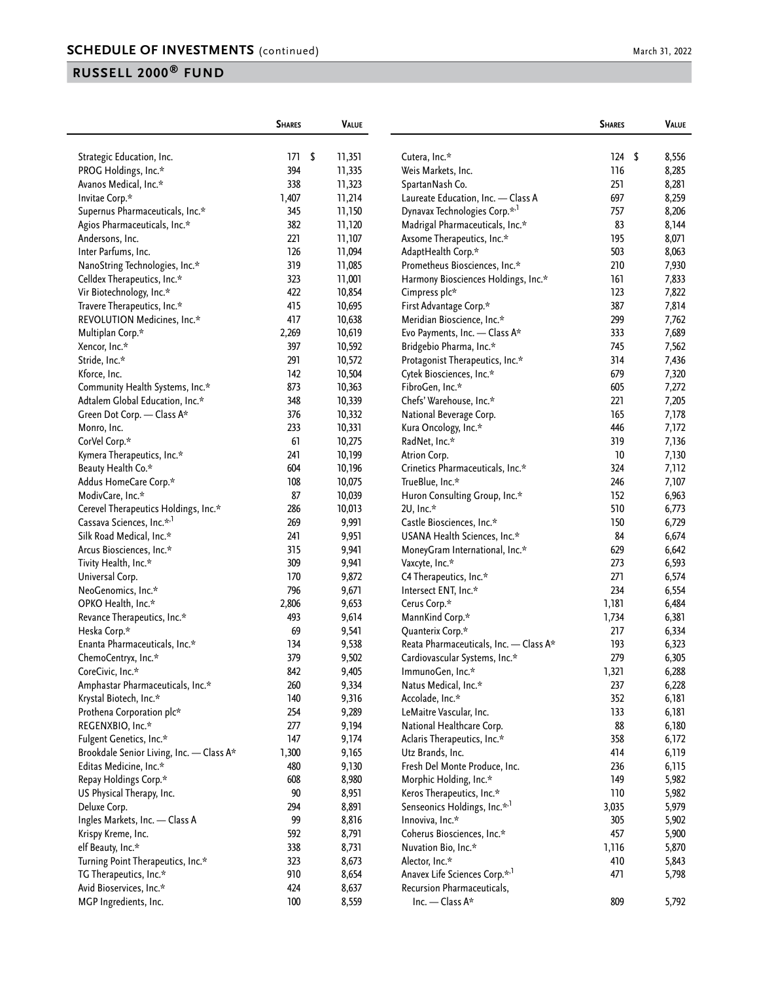|                                          | <b>SHARES</b> | <b>VALUE</b> |                                           | <b>SHARES</b> | VALUE       |
|------------------------------------------|---------------|--------------|-------------------------------------------|---------------|-------------|
| Strategic Education, Inc.                | 171           | \$<br>11,351 | Cutera, Inc.*                             | 124           | \$<br>8,556 |
| PROG Holdings, Inc.*                     | 394           | 11,335       | Weis Markets, Inc.                        | 116           | 8,285       |
| Avanos Medical, Inc.*                    | 338           | 11,323       | SpartanNash Co.                           | 251           | 8,281       |
| Invitae Corp.*                           | 1,407         | 11,214       | Laureate Education, Inc. - Class A        | 697           | 8,259       |
| Supernus Pharmaceuticals, Inc.*          | 345           | 11,150       | Dynavax Technologies Corp.* <sup>1</sup>  | 757           | 8,206       |
| Agios Pharmaceuticals, Inc.*             | 382           | 11,120       | Madrigal Pharmaceuticals, Inc.*           | 83            | 8,144       |
| Andersons, Inc.                          | 221           | 11,107       | Axsome Therapeutics, Inc.*                | 195           | 8,071       |
| Inter Parfums, Inc.                      | 126           |              |                                           | 503           |             |
|                                          |               | 11,094       | AdaptHealth Corp.*                        |               | 8,063       |
| NanoString Technologies, Inc.*           | 319           | 11,085       | Prometheus Biosciences, Inc.*             | 210           | 7,930       |
| Celldex Therapeutics, Inc.*              | 323           | 11,001       | Harmony Biosciences Holdings, Inc.*       | 161           | 7,833       |
| Vir Biotechnology, Inc.*                 | 422           | 10,854       | Cimpress plc*                             | 123           | 7,822       |
| Travere Therapeutics, Inc.*              | 415           | 10,695       | First Advantage Corp.*                    | 387           | 7,814       |
| REVOLUTION Medicines, Inc.*              | 417           | 10,638       | Meridian Bioscience, Inc.*                | 299           | 7,762       |
| Multiplan Corp.*                         | 2,269         | 10,619       | Evo Payments, Inc. - Class A*             | 333           | 7,689       |
| Xencor, Inc.*                            | 397           | 10,592       | Bridgebio Pharma, Inc.*                   | 745           | 7,562       |
| Stride, Inc.*                            | 291           | 10,572       | Protagonist Therapeutics, Inc.*           | 314           | 7,436       |
| Kforce, Inc.                             | 142           | 10,504       | Cytek Biosciences, Inc.*                  | 679           | 7,320       |
| Community Health Systems, Inc.*          | 873           | 10,363       | FibroGen, Inc.*                           | 605           | 7,272       |
| Adtalem Global Education, Inc.*          | 348           | 10,339       | Chefs' Warehouse, Inc.*                   | 221           | 7,205       |
| Green Dot Corp. - Class A*               | 376           | 10,332       | National Beverage Corp.                   | 165           | 7,178       |
| Monro, Inc.                              | 233           | 10,331       | Kura Oncology, Inc.*                      | 446           | 7,172       |
| CorVel Corp.*                            | 61            | 10,275       | RadNet, Inc.*                             | 319           | 7,136       |
| Kymera Therapeutics, Inc.*               | 241           | 10,199       | Atrion Corp.                              | 10            | 7,130       |
| Beauty Health Co.*                       | 604           | 10,196       | Crinetics Pharmaceuticals, Inc.*          | 324           | 7,112       |
| Addus HomeCare Corp.*                    | 108           | 10,075       | TrueBlue, Inc.*                           | 246           | 7,107       |
| ModivCare, Inc.*                         | 87            | 10,039       | Huron Consulting Group, Inc.*             | 152           | 6,963       |
| Cerevel Therapeutics Holdings, Inc.*     | 286           | 10,013       | 2U, Inc.*                                 | 510           | 6,773       |
| Cassava Sciences, Inc.* <sup>,1</sup>    | 269           | 9,991        | Castle Biosciences, Inc.*                 | 150           | 6,729       |
| Silk Road Medical, Inc.*                 | 241           | 9,951        | USANA Health Sciences, Inc.*              | 84            | 6,674       |
| Arcus Biosciences, Inc.*                 | 315           | 9,941        | MoneyGram International, Inc.*            | 629           | 6,642       |
| Tivity Health, Inc.*                     | 309           | 9,941        | Vaxcyte, Inc.*                            | 273           | 6,593       |
| Universal Corp.                          | 170           | 9,872        | C4 Therapeutics, Inc.*                    | 271           | 6,574       |
| NeoGenomics, Inc.*                       | 796           | 9,671        | Intersect ENT, Inc.*                      | 234           | 6,554       |
| OPKO Health, Inc.*                       | 2,806         | 9,653        | Cerus Corp.*                              | 1,181         | 6,484       |
| Revance Therapeutics, Inc.*              | 493           | 9,614        | MannKind Corp.*                           | 1,734         | 6,381       |
| Heska Corp.*                             | 69            | 9,541        | Quanterix Corp.*                          | 217           | 6,334       |
| Enanta Pharmaceuticals, Inc.*            | 134           | 9,538        | Reata Pharmaceuticals, Inc. - Class A*    | 193           | 6,323       |
| ChemoCentryx, Inc.*                      | 379           | 9,502        | Cardiovascular Systems, Inc.*             | 279           | 6,305       |
| CoreCivic, Inc.*                         | 842           | 9,405        | ImmunoGen, Inc.*                          | 1,321         | 6,288       |
| Amphastar Pharmaceuticals, Inc.*         | 260           | 9,334        | Natus Medical, Inc.*                      | 237           | 6,228       |
| Krystal Biotech, Inc.*                   | 140           | 9,316        | Accolade, Inc.*                           | 352           | 6,181       |
| Prothena Corporation plc*                | 254           | 9,289        | LeMaitre Vascular, Inc.                   | 133           | 6,181       |
| REGENXBIO, Inc.*                         | 277           | 9,194        | National Healthcare Corp.                 | 88            | 6,180       |
| Fulgent Genetics, Inc.*                  | 147           | 9,174        | Aclaris Therapeutics, Inc.*               | 358           | 6,172       |
| Brookdale Senior Living, Inc. - Class A* | 1,300         | 9,165        | Utz Brands, Inc.                          | 414           | 6,119       |
| Editas Medicine, Inc.*                   | 480           | 9,130        | Fresh Del Monte Produce, Inc.             | 236           | 6,115       |
| Repay Holdings Corp.*                    | 608           | 8,980        | Morphic Holding, Inc.*                    | 149           | 5,982       |
| US Physical Therapy, Inc.                | 90            | 8,951        | Keros Therapeutics, Inc.*                 | 110           | 5,982       |
| Deluxe Corp.                             | 294           | 8,891        | Senseonics Holdings, Inc.* <sup>1</sup>   | 3,035         | 5,979       |
| Ingles Markets, Inc. - Class A           | 99            | 8,816        | Innoviva, Inc.*                           | 305           | 5,902       |
| Krispy Kreme, Inc.                       | 592           | 8,791        | Coherus Biosciences, Inc.*                | 457           | 5,900       |
| elf Beauty, Inc.*                        | 338           | 8,731        | Nuvation Bio, Inc.*                       | 1,116         | 5,870       |
| Turning Point Therapeutics, Inc.*        | 323           | 8,673        | Alector, Inc.*                            | 410           | 5,843       |
| TG Therapeutics, Inc.*                   | 910           | 8,654        | Anavex Life Sciences Corp.* <sup>,1</sup> | 471           | 5,798       |
| Avid Bioservices, Inc.*                  | 424           | 8,637        | Recursion Pharmaceuticals,                |               |             |
| MGP Ingredients, Inc.                    | 100           | 8,559        | Inc. - Class A*                           | 809           | 5,792       |
|                                          |               |              |                                           |               |             |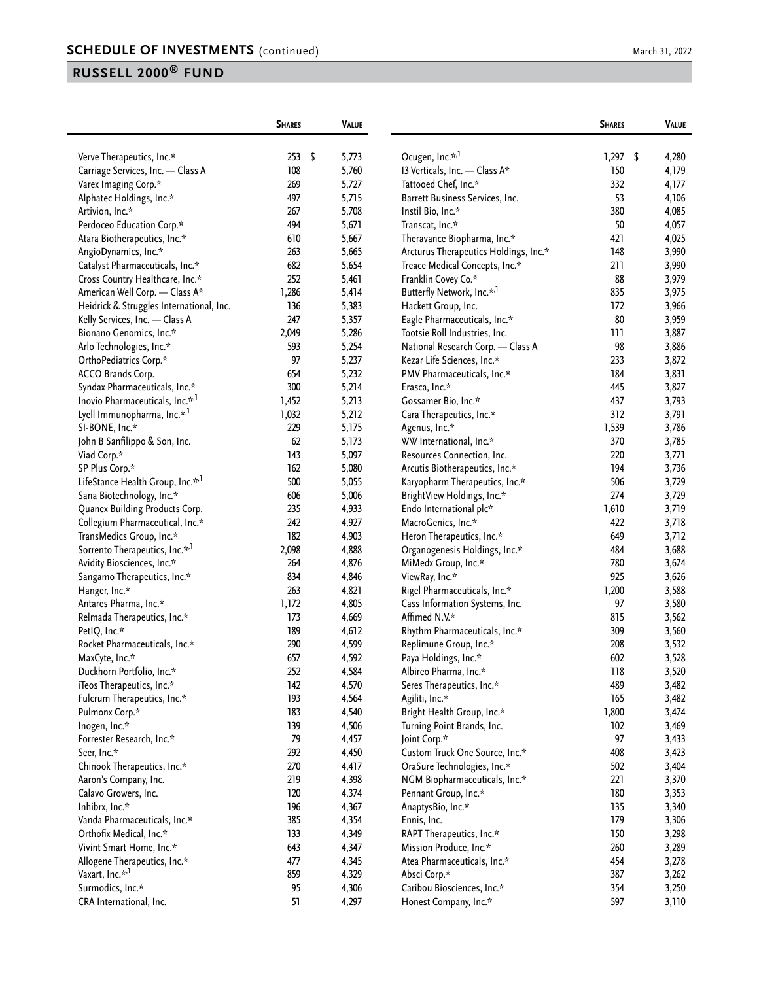| March 31, 2022 |
|----------------|
|----------------|

|                                              | <b>SHARES</b> | <b>VALUE</b> |                                        | <b>SHARES</b> | <b>VALUE</b> |
|----------------------------------------------|---------------|--------------|----------------------------------------|---------------|--------------|
| Verve Therapeutics, Inc.*                    | 253<br>- \$   | 5,773        | Ocugen, Inc.*,1                        | 1,297         | \$<br>4,280  |
| Carriage Services, Inc. - Class A            | 108           | 5,760        | 13 Verticals, Inc. - Class A*          | 150           | 4,179        |
| Varex Imaging Corp.*                         | 269           | 5,727        | Tattooed Chef, Inc.*                   | 332           | 4,177        |
| Alphatec Holdings, Inc.*                     | 497           | 5,715        | Barrett Business Services, Inc.        | 53            | 4,106        |
| Artivion, Inc.*                              | 267           | 5,708        | Instil Bio, Inc.*                      | 380           | 4,085        |
| Perdoceo Education Corp.*                    | 494           | 5,671        | Transcat, Inc.*                        | 50            | 4,057        |
| Atara Biotherapeutics, Inc.*                 | 610           | 5,667        | Theravance Biopharma, Inc.*            | 421           | 4,025        |
| AngioDynamics, Inc.*                         | 263           | 5,665        | Arcturus Therapeutics Holdings, Inc.*  | 148           | 3,990        |
| Catalyst Pharmaceuticals, Inc.*              | 682           | 5,654        | Treace Medical Concepts, Inc.*         | 211           | 3,990        |
| Cross Country Healthcare, Inc.*              | 252           | 5,461        | Franklin Covey Co.*                    | 88            | 3,979        |
| American Well Corp. - Class A*               | 1,286         | 5,414        | Butterfly Network, Inc.* <sup>,1</sup> | 835           | 3,975        |
| Heidrick & Struggles International, Inc.     | 136           | 5,383        | Hackett Group, Inc.                    | 172           | 3,966        |
| Kelly Services, Inc. - Class A               | 247           | 5,357        | Eagle Pharmaceuticals, Inc.*           | 80            | 3,959        |
| Bionano Genomics, Inc.*                      | 2,049         | 5,286        | Tootsie Roll Industries, Inc.          | 111           | 3,887        |
| Arlo Technologies, Inc.*                     | 593           | 5,254        | National Research Corp. - Class A      | 98            | 3,886        |
| OrthoPediatrics Corp.*                       | 97            | 5,237        | Kezar Life Sciences, Inc.*             | 233           | 3,872        |
| ACCO Brands Corp.                            | 654           | 5,232        | PMV Pharmaceuticals, Inc.*             | 184           | 3,831        |
| Syndax Pharmaceuticals, Inc.*                | 300           | 5,214        | Erasca, Inc.*                          | 445           | 3,827        |
| Inovio Pharmaceuticals, Inc.* <sup>1</sup>   | 1,452         | 5,213        | Gossamer Bio, Inc.*                    | 437           | 3,793        |
| Lyell Immunopharma, Inc.* <sup>,1</sup>      | 1,032         | 5,212        | Cara Therapeutics, Inc.*               | 312           | 3,791        |
| SI-BONE, Inc.*                               | 229           | 5,175        | Agenus, Inc.*                          | 1,539         | 3,786        |
| John B Sanfilippo & Son, Inc.                | 62            | 5,173        | WW International, Inc.*                | 370           | 3,785        |
| Viad Corp.*                                  | 143           | 5,097        | Resources Connection, Inc.             | 220           | 3,771        |
| SP Plus Corp.*                               | 162           | 5,080        | Arcutis Biotherapeutics, Inc.*         | 194           | 3,736        |
| LifeStance Health Group, Inc.* <sup>,1</sup> | 500           | 5,055        | Karyopharm Therapeutics, Inc.*         | 506           | 3,729        |
| Sana Biotechnology, Inc.*                    | 606           | 5,006        | BrightView Holdings, Inc.*             | 274           | 3,729        |
| Quanex Building Products Corp.               | 235           | 4,933        | Endo International plc*                | 1,610         | 3,719        |
| Collegium Pharmaceutical, Inc.*              | 242           | 4,927        | MacroGenics, Inc.*                     | 422           | 3,718        |
| TransMedics Group, Inc.*                     | 182           | 4,903        | Heron Therapeutics, Inc.*              | 649           | 3,712        |
| Sorrento Therapeutics, Inc.* <sup>1</sup>    | 2,098         | 4,888        | Organogenesis Holdings, Inc.*          | 484           | 3,688        |
| Avidity Biosciences, Inc.*                   | 264           | 4,876        | MiMedx Group, Inc.*                    | 780           | 3,674        |
| Sangamo Therapeutics, Inc.*                  | 834           | 4,846        | ViewRay, Inc.*                         | 925           | 3,626        |
| Hanger, Inc.*                                | 263           | 4,821        | Rigel Pharmaceuticals, Inc.*           | 1,200         | 3,588        |
| Antares Pharma, Inc.*                        | 1,172         | 4,805        | Cass Information Systems, Inc.         | 97            | 3,580        |
| Relmada Therapeutics, Inc.*                  | 173           | 4,669        | Affimed N.V.*                          | 815           | 3,562        |
| PetIQ, Inc.*                                 | 189           | 4,612        | Rhythm Pharmaceuticals, Inc.*          | 309           | 3,560        |
| Rocket Pharmaceuticals, Inc.*                | 290           | 4,599        | Replimune Group, Inc.*                 | 208           | 3,532        |
| MaxCyte, Inc.*                               | 657           | 4,592        | Paya Holdings, Inc.*                   | 602           | 3,528        |
| Duckhorn Portfolio, Inc.*                    | 252           | 4,584        | Albireo Pharma, Inc.*                  | 118           | 3,520        |
| iTeos Therapeutics, Inc.*                    | 142           | 4,570        | Seres Therapeutics, Inc.*              | 489           | 3,482        |
| Fulcrum Therapeutics, Inc.*                  | 193           | 4,564        | Agiliti, Inc.*                         | 165           | 3,482        |
| Pulmonx Corp.*                               | 183           | 4,540        | Bright Health Group, Inc.*             | 1,800         | 3,474        |
| Inogen, Inc.*                                | 139           | 4,506        | Turning Point Brands, Inc.             | 102           | 3,469        |
| Forrester Research, Inc.*                    | 79            | 4,457        | Joint Corp.*                           | 97            | 3,433        |
| Seer, Inc.*                                  | 292           | 4,450        | Custom Truck One Source, Inc.*         | 408           | 3,423        |
| Chinook Therapeutics, Inc.*                  | 270           | 4,417        | OraSure Technologies, Inc.*            | 502           | 3,404        |
| Aaron's Company, Inc.                        | 219           | 4,398        | NGM Biopharmaceuticals, Inc.*          | 221           | 3,370        |
| Calavo Growers, Inc.                         | 120           | 4,374        | Pennant Group, Inc.*                   | 180           | 3,353        |
| Inhibrx, Inc.*                               | 196           | 4,367        | AnaptysBio, Inc.*                      | 135           | 3,340        |
| Vanda Pharmaceuticals, Inc.*                 | 385           | 4,354        | Ennis, Inc.                            | 179           | 3,306        |
| Orthofix Medical, Inc.*                      | 133           | 4,349        | RAPT Therapeutics, Inc.*               | 150           |              |
| Vivint Smart Home, Inc.*                     | 643           | 4,347        | Mission Produce, Inc.*                 | 260           | 3,298        |
| Allogene Therapeutics, Inc.*                 | 477           |              | Atea Pharmaceuticals, Inc.*            | 454           | 3,289        |
| Vaxart, Inc.* <sup>,1</sup>                  | 859           | 4,345        | Absci Corp.*                           |               | 3,278        |
| Surmodics, Inc.*                             |               | 4,329        |                                        | 387           | 3,262        |
|                                              | 95<br>51      | 4,306        | Caribou Biosciences, Inc.*             | 354           | 3,250        |
| CRA International, Inc.                      |               | 4,297        | Honest Company, Inc.*                  | 597           | 3,110        |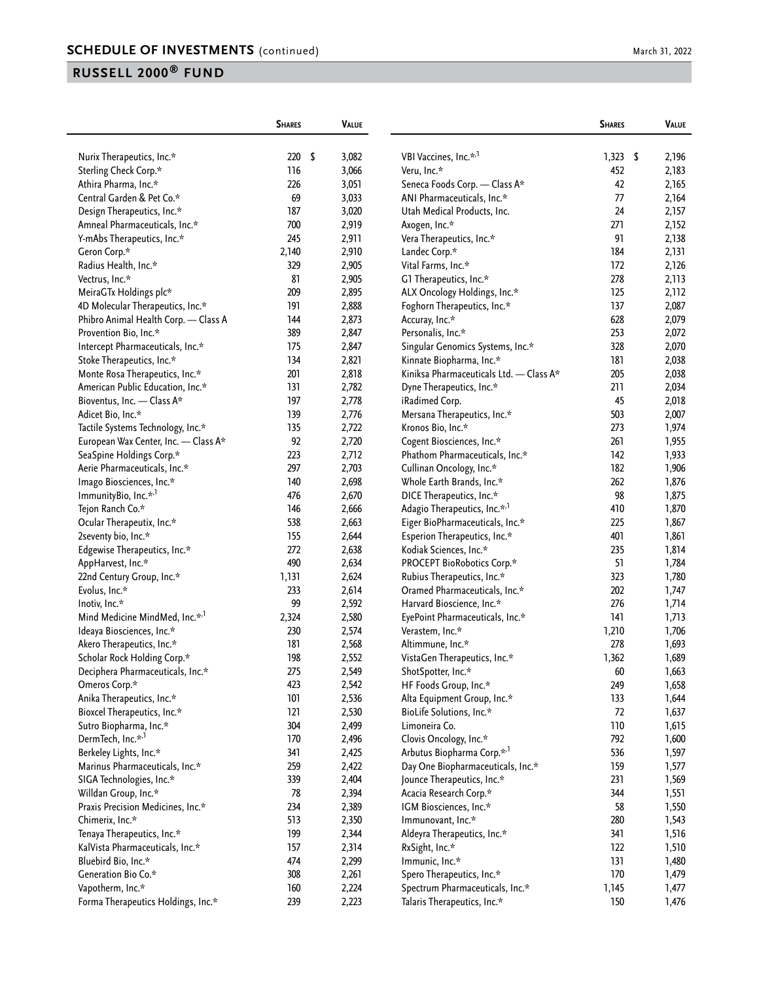|                                                    | <b>SHARES</b> | <b>VALUE</b> |                                          | <b>SHARES</b> | VALUE          |
|----------------------------------------------------|---------------|--------------|------------------------------------------|---------------|----------------|
|                                                    | \$<br>220     | 3,082        | VBI Vaccines, Inc.* <sup>1</sup>         | 1,323         | \$             |
| Nurix Therapeutics, Inc.*<br>Sterling Check Corp.* | 116           | 3,066        | Veru, Inc.*                              | 452           | 2,196<br>2,183 |
| Athira Pharma, Inc.*                               | 226           | 3,051        | Seneca Foods Corp. - Class A*            | 42            | 2,165          |
| Central Garden & Pet Co.*                          | 69            | 3,033        | ANI Pharmaceuticals, Inc.*               | 77            | 2,164          |
|                                                    |               |              |                                          | 24            |                |
| Design Therapeutics, Inc.*                         | 187           | 3,020        | Utah Medical Products, Inc.              | 271           | 2,157          |
| Amneal Pharmaceuticals, Inc.*                      | 700           | 2,919        | Axogen, Inc.*                            |               | 2,152          |
| Y-mAbs Therapeutics, Inc.*                         | 245           | 2,911        | Vera Therapeutics, Inc.*                 | 91            | 2,138          |
| Geron Corp.*                                       | 2,140         | 2,910        | Landec Corp.*                            | 184           | 2,131          |
| Radius Health, Inc.*                               | 329           | 2,905        | Vital Farms, Inc.*                       | 172           | 2,126          |
| Vectrus, Inc.*                                     | 81            | 2,905        | G1 Therapeutics, Inc.*                   | 278           | 2,113          |
| MeiraGTx Holdings plc*                             | 209           | 2,895        | ALX Oncology Holdings, Inc.*             | 125           | 2,112          |
| 4D Molecular Therapeutics, Inc.*                   | 191           | 2,888        | Foghorn Therapeutics, Inc.*              | 137           | 2,087          |
| Phibro Animal Health Corp. - Class A               | 144           | 2,873        | Accuray, Inc.*                           | 628           | 2,079          |
| Provention Bio, Inc.*                              | 389           | 2,847        | Personalis, Inc.*                        | 253           | 2,072          |
| Intercept Pharmaceuticals, Inc.*                   | 175           | 2,847        | Singular Genomics Systems, Inc.*         | 328           | 2,070          |
| Stoke Therapeutics, Inc.*                          | 134           | 2,821        | Kinnate Biopharma, Inc.*                 | 181           | 2,038          |
| Monte Rosa Therapeutics, Inc.*                     | 201           | 2,818        | Kiniksa Pharmaceuticals Ltd. - Class A*  | 205           | 2,038          |
| American Public Education, Inc.*                   | 131           | 2,782        | Dyne Therapeutics, Inc.*                 | 211           | 2,034          |
| Bioventus, Inc. - Class A*                         | 197           | 2,778        | iRadimed Corp.                           | 45            | 2,018          |
| Adicet Bio, Inc.*                                  | 139           | 2,776        | Mersana Therapeutics, Inc.*              | 503           | 2,007          |
| Tactile Systems Technology, Inc.*                  | 135           | 2,722        | Kronos Bio, Inc.*                        | 273           | 1,974          |
| European Wax Center, Inc. - Class A*               | 92            | 2,720        | Cogent Biosciences, Inc.*                | 261           | 1,955          |
| SeaSpine Holdings Corp.*                           | 223           | 2,712        | Phathom Pharmaceuticals, Inc.*           | 142           | 1,933          |
| Aerie Pharmaceuticals, Inc.*                       | 297           | 2,703        | Cullinan Oncology, Inc.*                 | 182           | 1,906          |
| Imago Biosciences, Inc.*                           | 140           | 2,698        | Whole Earth Brands, Inc.*                | 262           | 1,876          |
| ImmunityBio, Inc.* <sup>1</sup>                    | 476           | 2,670        | DICE Therapeutics, Inc.*                 | 98            | 1,875          |
| Tejon Ranch Co.*                                   | 146           | 2,666        | Adagio Therapeutics, Inc.* <sup>,1</sup> | 410           | 1,870          |
| Ocular Therapeutix, Inc.*                          | 538           | 2,663        | Eiger BioPharmaceuticals, Inc.*          | 225           | 1,867          |
| 2seventy bio, Inc.*                                | 155           | 2,644        | Esperion Therapeutics, Inc.*             | 401           | 1,861          |
| Edgewise Therapeutics, Inc.*                       | 272           | 2,638        | Kodiak Sciences, Inc.*                   | 235           | 1,814          |
| AppHarvest, Inc.*                                  | 490           | 2,634        | PROCEPT BioRobotics Corp.*               | 51            | 1,784          |
| 22nd Century Group, Inc.*                          | 1,131         | 2,624        | Rubius Therapeutics, Inc.*               | 323           | 1,780          |
| Evolus, Inc.*                                      | 233           | 2,614        | Oramed Pharmaceuticals, Inc.*            | 202           | 1,747          |
| Inotiv, Inc.*                                      | 99            | 2,592        | Harvard Bioscience, Inc.*                | 276           | 1,714          |
| Mind Medicine MindMed, Inc.* <sup>1</sup>          | 2,324         | 2,580        | EyePoint Pharmaceuticals, Inc.*          | 141           | 1,713          |
| Ideaya Biosciences, Inc.*                          | 230           | 2,574        | Verastem, Inc.*                          | 1,210         | 1,706          |
| Akero Therapeutics, Inc.*                          | 181           | 2,568        | Altimmune, Inc.*                         | 278           | 1,693          |
| Scholar Rock Holding Corp.*                        | 198           | 2,552        | VistaGen Therapeutics, Inc.*             | 1,362         | 1,689          |
| Deciphera Pharmaceuticals, Inc.*                   | 275           | 2,549        | ShotSpotter, Inc.*                       | 60            | 1,663          |
| Omeros Corp.*                                      | 423           | 2,542        | HF Foods Group, Inc.*                    | 249           | 1,658          |
| Anika Therapeutics, Inc.*                          | 101           | 2,536        | Alta Equipment Group, Inc.*              | 133           | 1,644          |
| Bioxcel Therapeutics, Inc.*                        | 121           | 2,530        | BioLife Solutions, Inc.*                 | 72            | 1,637          |
| Sutro Biopharma, Inc.*                             | 304           | 2,499        | Limoneira Co.                            | 110           | 1,615          |
| DermTech, Inc.* <sup>,1</sup>                      | 170           | 2,496        | Clovis Oncology, Inc.*                   | 792           | 1,600          |
| Berkeley Lights, Inc.*                             | 341           | 2,425        | Arbutus Biopharma Corp.* <sup>,1</sup>   | 536           | 1,597          |
| Marinus Pharmaceuticals, Inc.*                     | 259           | 2,422        | Day One Biopharmaceuticals, Inc.*        | 159           | 1,577          |
| SIGA Technologies, Inc.*                           | 339           | 2,404        | Jounce Therapeutics, Inc.*               | 231           | 1,569          |
| Willdan Group, Inc.*                               | 78            | 2,394        | Acacia Research Corp.*                   | 344           | 1,551          |
| Praxis Precision Medicines, Inc.*                  | 234           | 2,389        | IGM Biosciences, Inc.*                   | 58            | 1,550          |
| Chimerix, Inc.*                                    | 513           | 2,350        | Immunovant, Inc.*                        | 280           | 1,543          |
|                                                    |               |              |                                          | 341           |                |
| Tenaya Therapeutics, Inc.*                         | 199           | 2,344        | Aldeyra Therapeutics, Inc.*              |               | 1,516          |
| KalVista Pharmaceuticals, Inc.*                    | 157           | 2,314        | RxSight, Inc.*                           | 122           | 1,510          |
| Bluebird Bio, Inc.*                                | 474           | 2,299        | Immunic, Inc.*                           | 131           | 1,480          |
| Generation Bio Co.*                                | 308           | 2,261        | Spero Therapeutics, Inc.*                | 170           | 1,479          |
| Vapotherm, Inc.*                                   | 160           | 2,224        | Spectrum Pharmaceuticals, Inc.*          | 1,145         | 1,477          |
| Forma Therapeutics Holdings, Inc.*                 | 239           | 2,223        | Talaris Therapeutics, Inc.*              | 150           | 1,476          |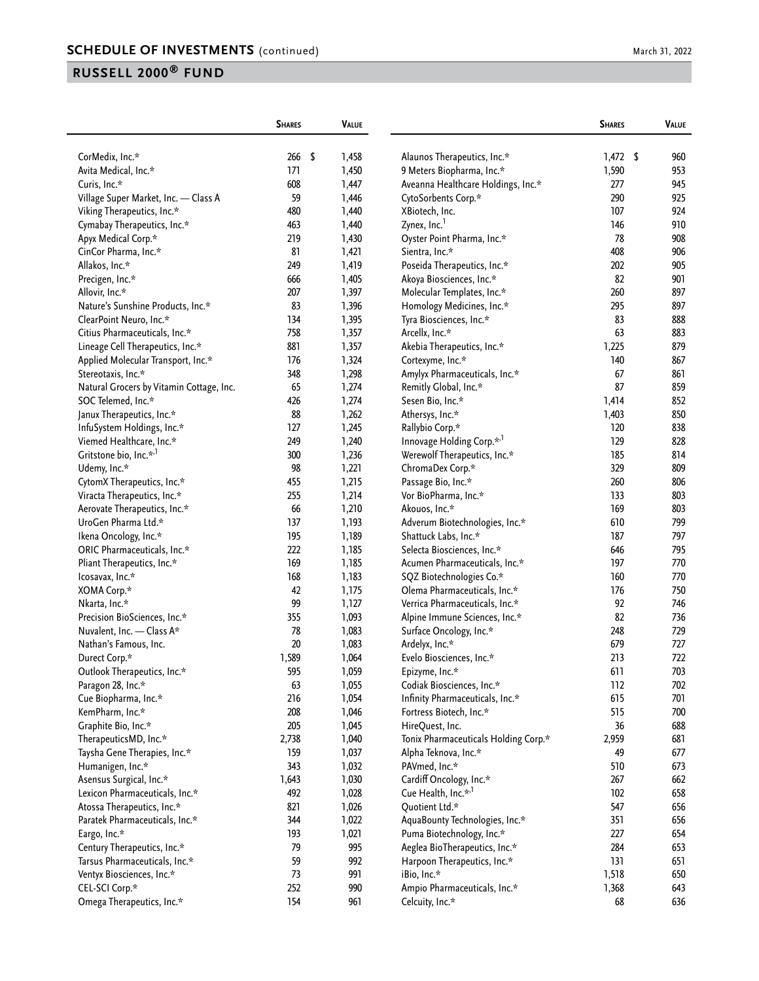|                                          | <b>SHARES</b> | <b>VALUE</b> |                                                        | <b>SHARES</b> | <b>VALUE</b> |
|------------------------------------------|---------------|--------------|--------------------------------------------------------|---------------|--------------|
| CorMedix, Inc.*                          | 266<br>- \$   | 1,458        | Alaunos Therapeutics, Inc.*                            | $1,472$ \$    | 960          |
| Avita Medical, Inc.*                     | 171           | 1,450        | 9 Meters Biopharma, Inc.*                              | 1,590         | 953          |
| Curis, Inc.*                             | 608           | 1,447        | Aveanna Healthcare Holdings, Inc.*                     | 277           | 945          |
| Village Super Market, Inc. - Class A     | 59            | 1,446        | CytoSorbents Corp.*                                    | 290           | 925          |
| Viking Therapeutics, Inc.*               | 480           | 1,440        | XBiotech, Inc.                                         | 107           | 924          |
| Cymabay Therapeutics, Inc.*              | 463           | 1,440        | Zynex, Inc. <sup>1</sup>                               | 146           | 910          |
| Apyx Medical Corp.*                      | 219           | 1,430        | Oyster Point Pharma, Inc.*                             | 78            | 908          |
| CinCor Pharma, Inc.*                     | 81            | 1,421        | Sientra, Inc.*                                         | 408           | 906          |
| Allakos, Inc.*                           | 249           | 1,419        | Poseida Therapeutics, Inc.*                            | 202           | 905          |
|                                          | 666           |              |                                                        | 82            | 901          |
| Precigen, Inc.*                          |               | 1,405        | Akoya Biosciences, Inc.*<br>Molecular Templates, Inc.* | 260           | 897          |
| Allovir, Inc.*                           | 207<br>83     | 1,397        |                                                        | 295           | 897          |
| Nature's Sunshine Products, Inc.*        | 134           | 1,396        | Homology Medicines, Inc.*                              | 83            | 888          |
| ClearPoint Neuro, Inc.*                  | 758           | 1,395        | Tyra Biosciences, Inc.*                                | 63            | 883          |
| Citius Pharmaceuticals, Inc.*            |               | 1,357        | Arcellx, Inc.*                                         |               | 879          |
| Lineage Cell Therapeutics, Inc.*         | 881           | 1,357        | Akebia Therapeutics, Inc.*                             | 1,225         |              |
| Applied Molecular Transport, Inc.*       | 176           | 1,324        | Cortexyme, Inc.*                                       | 140           | 867          |
| Stereotaxis, Inc.*                       | 348           | 1,298        | Amylyx Pharmaceuticals, Inc.*                          | 67            | 861          |
| Natural Grocers by Vitamin Cottage, Inc. | 65            | 1,274        | Remitly Global, Inc.*                                  | 87            | 859          |
| SOC Telemed, Inc.*                       | 426           | 1,274        | Sesen Bio, Inc.*                                       | 1,414         | 852          |
| Janux Therapeutics, Inc.*                | 88            | 1,262        | Athersys, Inc.*                                        | 1,403         | 850          |
| InfuSystem Holdings, Inc.*               | 127           | 1,245        | Rallybio Corp.*                                        | 120           | 838          |
| Viemed Healthcare, Inc.*                 | 249           | 1,240        | Innovage Holding Corp.*,1                              | 129           | 828          |
| Gritstone bio, Inc.* <sup>1</sup>        | 300           | 1,236        | Werewolf Therapeutics, Inc.*                           | 185           | 814          |
| Udemy, Inc.*                             | 98            | 1,221        | ChromaDex Corp.*                                       | 329           | 809          |
| CytomX Therapeutics, Inc.*               | 455           | 1,215        | Passage Bio, Inc.*                                     | 260           | 806          |
| Viracta Therapeutics, Inc.*              | 255           | 1,214        | Vor BioPharma, Inc.*                                   | 133           | 803          |
| Aerovate Therapeutics, Inc.*             | 66            | 1,210        | Akouos, Inc.*                                          | 169           | 803          |
| UroGen Pharma Ltd.*                      | 137           | 1,193        | Adverum Biotechnologies, Inc.*                         | 610           | 799          |
| Ikena Oncology, Inc.*                    | 195           | 1,189        | Shattuck Labs, Inc.*                                   | 187           | 797          |
| ORIC Pharmaceuticals, Inc.*              | 222           | 1,185        | Selecta Biosciences, Inc.*                             | 646           | 795          |
| Pliant Therapeutics, Inc.*               | 169           | 1,185        | Acumen Pharmaceuticals, Inc.*                          | 197           | 770          |
| lcosavax, Inc.*                          | 168           | 1,183        | SQZ Biotechnologies Co.*                               | 160           | 770          |
| XOMA Corp.*                              | 42            | 1,175        | Olema Pharmaceuticals, Inc.*                           | 176           | 750          |
| Nkarta, Inc.*                            | 99            | 1,127        | Verrica Pharmaceuticals, Inc.*                         | 92            | 746          |
| Precision BioSciences, Inc.*             | 355           | 1,093        | Alpine Immune Sciences, Inc.*                          | 82            | 736          |
| Nuvalent, Inc. - Class A*                | 78            | 1,083        | Surface Oncology, Inc.*                                | 248           | 729          |
| Nathan's Famous, Inc.                    | 20            | 1,083        | Ardelyx, Inc.*                                         | 679           | 727          |
| Durect Corp.*                            | 1,589         | 1,064        | Evelo Biosciences, Inc.*                               | 213           | 722          |
| Outlook Therapeutics, Inc.*              | 595           | 1,059        | Epizyme, Inc.*                                         | 611           | 703          |
| Paragon 28, Inc.*                        | 63            | 1,055        | Codiak Biosciences, Inc.*                              | 112           | 702          |
| Cue Biopharma, Inc.*                     | 216           | 1,054        | Infinity Pharmaceuticals, Inc.*                        | 615           | 701          |
| KemPharm, Inc.*                          | 208           | 1,046        | Fortress Biotech, Inc.*                                | 515           | 700          |
| Graphite Bio, Inc.*                      | 205           | 1,045        | HireQuest, Inc.                                        | 36            | 688          |
| TherapeuticsMD, Inc.*                    | 2,738         | 1,040        | Tonix Pharmaceuticals Holding Corp.*                   | 2,959         | 681          |
| Taysha Gene Therapies, Inc.*             | 159           | 1,037        | Alpha Teknova, Inc.*                                   | 49            | 677          |
| Humanigen, Inc.*                         | 343           | 1,032        | PAVmed, Inc.*                                          | 510           | 673          |
| Asensus Surgical, Inc.*                  | 1,643         | 1,030        | Cardiff Oncology, Inc.*                                | 267           | 662          |
| Lexicon Pharmaceuticals, Inc.*           | 492           | 1,028        | Cue Health, Inc.* <sup>,1</sup>                        | 102           | 658          |
| Atossa Therapeutics, Inc.*               | 821           | 1,026        | Quotient Ltd.*                                         | 547           | 656          |
| Paratek Pharmaceuticals, Inc.*           | 344           | 1,022        | AquaBounty Technologies, Inc.*                         | 351           | 656          |
| Eargo, Inc.*                             | 193           | 1,021        | Puma Biotechnology, Inc.*                              | 227           | 654          |
| Century Therapeutics, Inc.*              | 79            | 995          | Aeglea BioTherapeutics, Inc.*                          | 284           | 653          |
| Tarsus Pharmaceuticals, Inc.*            | 59            | 992          | Harpoon Therapeutics, Inc.*                            | 131           | 651          |
| Ventyx Biosciences, Inc.*                | 73            | 991          | iBio, Inc.*                                            | 1,518         | 650          |
| CEL-SCI Corp.*                           | 252           | 990          | Ampio Pharmaceuticals, Inc.*                           | 1,368         | 643          |
| Omega Therapeutics, Inc.*                | 154           | 961          | Celcuity, Inc.*                                        | 68            | 636          |
|                                          |               |              |                                                        |               |              |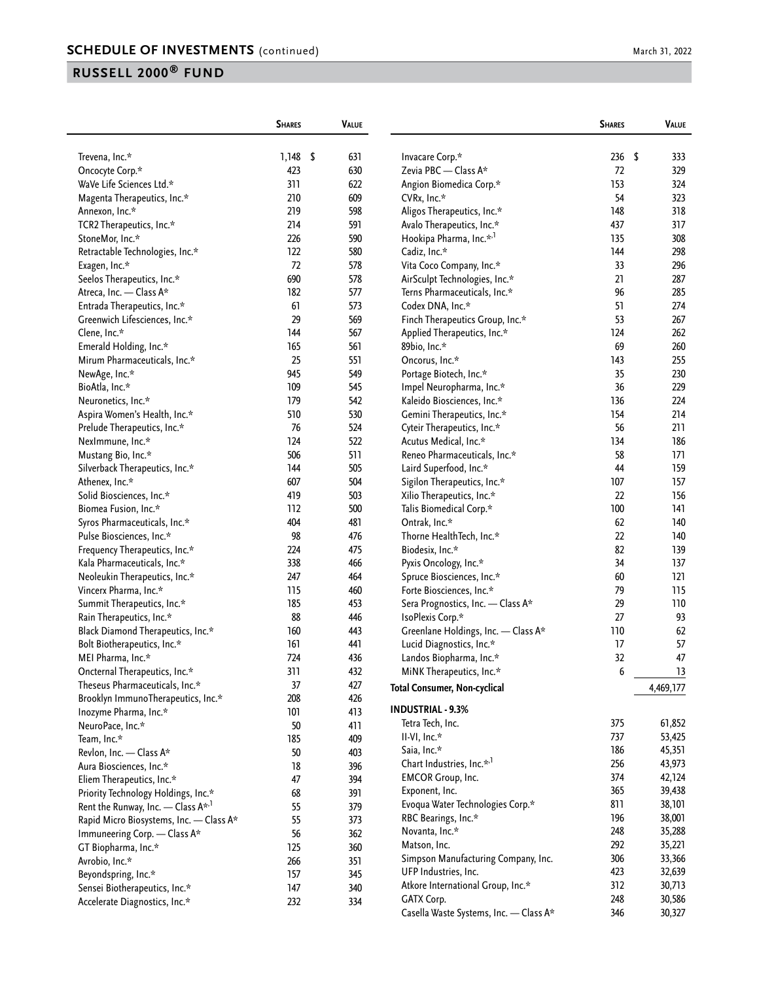|                                             | <b>SHARES</b> | <b>VALUE</b> |                                        | <b>SHARES</b> | <b>VALUE</b> |
|---------------------------------------------|---------------|--------------|----------------------------------------|---------------|--------------|
| Trevena, Inc.*                              | $1,148$ \$    | 631          | Invacare Corp.*                        | 236           | \$<br>333    |
| Oncocyte Corp.*                             | 423           | 630          | Zevia PBC - Class A*                   | 72            | 329          |
| WaVe Life Sciences Ltd.*                    | 311           | 622          | Angion Biomedica Corp.*                | 153           | 324          |
| Magenta Therapeutics, Inc.*                 | 210           | 609          | CVRx, Inc.*                            | 54            | 323          |
| Annexon, Inc.*                              | 219           | 598          | Aligos Therapeutics, Inc.*             | 148           | 318          |
| TCR2 Therapeutics, Inc.*                    | 214           | 591          | Avalo Therapeutics, Inc.*              | 437           | 317          |
| StoneMor, Inc.*                             | 226           | 590          | Hookipa Pharma, Inc.* <sup>,1</sup>    | 135           | 308          |
| Retractable Technologies, Inc.*             | 122           | 580          | Cadiz, Inc.*                           | 144           | 298          |
| Exagen, Inc.*                               | 72            | 578          | Vita Coco Company, Inc.*               | 33            | 296          |
| Seelos Therapeutics, Inc.*                  | 690           | 578          | AirSculpt Technologies, Inc.*          | 21            | 287          |
| Atreca, Inc. - Class A*                     | 182           | 577          | Terns Pharmaceuticals, Inc.*           | 96            | 285          |
| Entrada Therapeutics, Inc.*                 | 61            | 573          | Codex DNA, Inc.*                       | 51            | 274          |
| Greenwich Lifesciences, Inc.*               | 29            | 569          | Finch Therapeutics Group, Inc.*        | 53            | 267          |
| Clene, Inc.*                                | 144           | 567          | Applied Therapeutics, Inc.*            | 124           | 262          |
| Emerald Holding, Inc.*                      | 165           | 561          | 89bio, Inc.*                           | 69            | 260          |
| Mirum Pharmaceuticals, Inc.*                | 25            | 551          | Oncorus, Inc.*                         | 143           | 255          |
| NewAge, Inc.*                               | 945           | 549          | Portage Biotech, Inc.*                 | 35            | 230          |
| BioAtla, Inc.*                              | 109           | 545          | Impel Neuropharma, Inc.*               | 36            | 229          |
| Neuronetics, Inc.*                          | 179           | 542          | Kaleido Biosciences, Inc.*             | 136           | 224          |
| Aspira Women's Health, Inc.*                | 510           | 530          | Gemini Therapeutics, Inc.*             | 154           | 214          |
| Prelude Therapeutics, Inc.*                 | 76            | 524          | Cyteir Therapeutics, Inc.*             | 56            | 211          |
| NexImmune, Inc.*                            | 124           | 522          | Acutus Medical, Inc.*                  | 134           | 186          |
| Mustang Bio, Inc.*                          | 506           | 511          | Reneo Pharmaceuticals, Inc.*           | 58            | 171          |
| Silverback Therapeutics, Inc.*              | 144           | 505          | Laird Superfood, Inc.*                 | 44            | 159          |
| Athenex, Inc.*                              | 607           | 504          | Sigilon Therapeutics, Inc.*            | 107           | 157          |
| Solid Biosciences, Inc.*                    | 419           | 503          | Xilio Therapeutics, Inc.*              | 22            | 156          |
| Biomea Fusion, Inc.*                        | 112           | 500          | Talis Biomedical Corp.*                | 100           | 141          |
| Syros Pharmaceuticals, Inc.*                | 404           | 481          | Ontrak, Inc.*                          | 62            | 140          |
| Pulse Biosciences, Inc.*                    | 98            | 476          | Thorne HealthTech, Inc.*               | 22            | 140          |
| Frequency Therapeutics, Inc.*               | 224           | 475          | Biodesix, Inc.*                        | 82            | 139          |
| Kala Pharmaceuticals, Inc.*                 | 338           | 466          | Pyxis Oncology, Inc.*                  | 34            | 137          |
| Neoleukin Therapeutics, Inc.*               | 247           | 464          | Spruce Biosciences, Inc.*              | 60            | 121          |
| Vincerx Pharma, Inc.*                       | 115           | 460          | Forte Biosciences, Inc.*               | 79            | 115          |
| Summit Therapeutics, Inc.*                  | 185           | 453          | Sera Prognostics, Inc. - Class A*      | 29            | 110          |
| Rain Therapeutics, Inc.*                    | 88            | 446          | IsoPlexis Corp.*                       | 27            | 93           |
| Black Diamond Therapeutics, Inc.*           | 160           | 443          | Greenlane Holdings, Inc. - Class A*    | 110           | 62           |
| Bolt Biotherapeutics, Inc.*                 | 161           | 441          | Lucid Diagnostics, Inc.*               | 17            | 57           |
| MEI Pharma, Inc.*                           | 724           | 436          | Landos Biopharma, Inc.*                | 32            | 47           |
| Oncternal Therapeutics, Inc.*               | 311           | 432          | MINK Therapeutics, Inc.*               | 6             | 13           |
| Theseus Pharmaceuticals, Inc.*              | 37            | 427          | <b>Total Consumer, Non-cyclical</b>    |               | 4,469,177    |
| Brooklyn ImmunoTherapeutics, Inc.*          | 208           | 426          |                                        |               |              |
| Inozyme Pharma, Inc.*                       | 101           | 413          | <b>INDUSTRIAL - 9.3%</b>               |               |              |
| NeuroPace, Inc.*                            | $50\,$        | 411          | Tetra Tech, Inc.                       | 375           | 61,852       |
| Team, Inc.*                                 | 185           | 409          | II-VI, Inc.*                           | 737           | 53,425       |
| Revlon, Inc. - Class A*                     | $50\,$        | 403          | Saia, Inc.*                            | 186           | 45,351       |
| Aura Biosciences, Inc.*                     | $18\,$        | 396          | Chart Industries, Inc.* <sup>1</sup>   | 256           | 43,973       |
| Eliem Therapeutics, Inc.*                   | 47            | 394          | <b>EMCOR Group, Inc.</b>               | 374           | 42,124       |
| Priority Technology Holdings, Inc.*         | 68            | 391          | Exponent, Inc.                         | 365           | 39,438       |
| Rent the Runway, Inc. - Class $A^{\star,1}$ | 55            | 379          | Evoqua Water Technologies Corp.*       | 811           | 38,101       |
| Rapid Micro Biosystems, Inc. - Class A*     | 55            | 373          | RBC Bearings, Inc.*                    | 196           | 38,001       |
| Immuneering Corp. - Class A*                | 56            | 362          | Novanta, Inc.*                         | 248           | 35,288       |
| GT Biopharma, Inc.*                         | 125           | 360          | Matson, Inc.                           | 292           | 35,221       |
| Avrobio, Inc.*                              | 266           | 351          | Simpson Manufacturing Company, Inc.    | 306           | 33,366       |
| Beyondspring, Inc.*                         | 157           | 345          | UFP Industries, Inc.                   | 423           | 32,639       |
| Sensei Biotherapeutics, Inc.*               | 147           | 340          | Atkore International Group, Inc.*      | 312           | 30,713       |
| Accelerate Diagnostics, Inc.*               | 232           | 334          | GATX Corp.                             | 248           | 30,586       |
|                                             |               |              | Casella Waste Systems, Inc. - Class A* | 346           | 30,327       |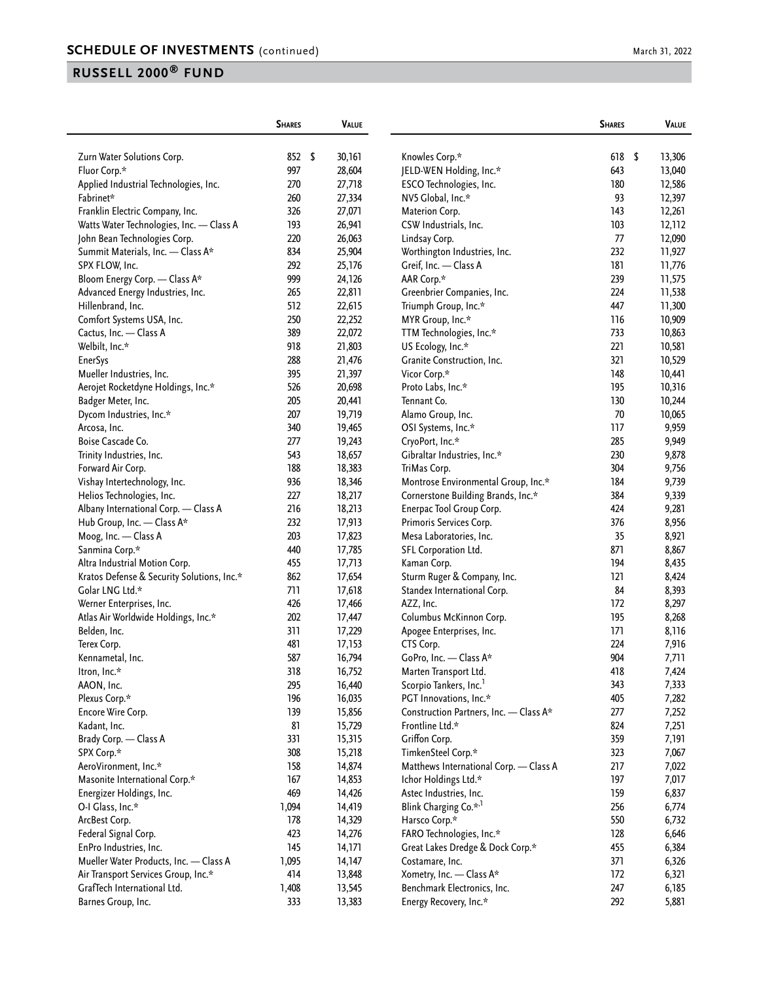|                                            | <b>SHARES</b>    | <b>VALUE</b> |                                                           | <b>SHARES</b> | VALUE        |
|--------------------------------------------|------------------|--------------|-----------------------------------------------------------|---------------|--------------|
| Zurn Water Solutions Corp.                 | 852 <sup>5</sup> | 30,161       | Knowles Corp.*                                            | 618           | \$<br>13,306 |
| Fluor Corp.*                               | 997              | 28,604       | JELD-WEN Holding, Inc.*                                   | 643           | 13,040       |
| Applied Industrial Technologies, Inc.      | 270              | 27,718       | ESCO Technologies, Inc.                                   | 180           | 12,586       |
| Fabrinet*                                  | 260              | 27,334       | NV5 Global, Inc.*                                         | 93            | 12,397       |
| Franklin Electric Company, Inc.            | 326              | 27,071       | Materion Corp.                                            | 143           | 12,261       |
| Watts Water Technologies, Inc. - Class A   | 193              | 26,941       | CSW Industrials, Inc.                                     | 103           | 12,112       |
| John Bean Technologies Corp.               | 220              | 26,063       | Lindsay Corp.                                             | 77            | 12,090       |
| Summit Materials, Inc. - Class A*          | 834              | 25,904       | Worthington Industries, Inc.                              | 232           | 11,927       |
| SPX FLOW, Inc.                             | 292              | 25,176       | Greif, Inc. - Class A                                     | 181           | 11,776       |
| Bloom Energy Corp. - Class A*              | 999              | 24,126       | AAR Corp.*                                                | 239           | 11,575       |
| Advanced Energy Industries, Inc.           | 265              | 22,811       | Greenbrier Companies, Inc.                                | 224           | 11,538       |
| Hillenbrand, Inc.                          | 512              | 22,615       | Triumph Group, Inc.*                                      | 447           | 11,300       |
| Comfort Systems USA, Inc.                  | 250              | 22,252       | MYR Group, Inc.*                                          | 116           | 10,909       |
| Cactus, Inc. - Class A                     | 389              | 22,072       | TTM Technologies, Inc.*                                   | 733           | 10,863       |
| Welbilt, Inc.*                             | 918              | 21,803       | US Ecology, Inc.*                                         | 221           | 10,581       |
| <b>EnerSys</b>                             | 288              | 21,476       | Granite Construction, Inc.                                | 321           | 10,529       |
| Mueller Industries, Inc.                   | 395              | 21,397       | Vicor Corp.*                                              | 148           | 10,441       |
| Aerojet Rocketdyne Holdings, Inc.*         | 526              | 20,698       | Proto Labs, Inc.*                                         | 195           | 10,316       |
| Badger Meter, Inc.                         | 205              | 20,441       | Tennant Co.                                               | 130           | 10,244       |
| Dycom Industries, Inc.*                    | 207              | 19,719       | Alamo Group, Inc.                                         | 70            | 10,065       |
| Arcosa, Inc.                               | 340              | 19,465       | OSI Systems, Inc.*                                        | 117           | 9,959        |
| Boise Cascade Co.                          | 277              | 19,243       | CryoPort, Inc.*                                           | 285           | 9,949        |
| Trinity Industries, Inc.                   | 543              | 18,657       | Gibraltar Industries, Inc.*                               | 230           | 9,878        |
| Forward Air Corp.                          | 188              | 18,383       | TriMas Corp.                                              | 304           | 9,756        |
| Vishay Intertechnology, Inc.               | 936              | 18,346       | Montrose Environmental Group, Inc.*                       | 184           | 9,739        |
| Helios Technologies, Inc.                  | 227              | 18,217       | Cornerstone Building Brands, Inc.*                        | 384           | 9,339        |
| Albany International Corp. - Class A       | 216              | 18,213       | Enerpac Tool Group Corp.                                  | 424           | 9,281        |
| Hub Group, Inc. - Class A*                 | 232              | 17,913       | Primoris Services Corp.                                   | 376           | 8,956        |
| Moog, Inc. - Class A                       | 203              | 17,823       | Mesa Laboratories, Inc.                                   | 35            | 8,921        |
| Sanmina Corp.*                             | 440              | 17,785       |                                                           | 871           | 8,867        |
| Altra Industrial Motion Corp.              | 455              | 17,713       | SFL Corporation Ltd.                                      | 194           | 8,435        |
| Kratos Defense & Security Solutions, Inc.* | 862              |              | Kaman Corp.                                               | 121           |              |
| Golar LNG Ltd.*                            | 711              | 17,654       | Sturm Ruger & Company, Inc.                               | 84            | 8,424        |
|                                            |                  | 17,618       | Standex International Corp.                               | 172           | 8,393        |
| Werner Enterprises, Inc.                   | 426              | 17,466       | AZZ, Inc.                                                 |               | 8,297        |
| Atlas Air Worldwide Holdings, Inc.*        | 202<br>311       | 17,447       | Columbus McKinnon Corp.                                   | 195           | 8,268        |
| Belden, Inc.                               | 481              | 17,229       | Apogee Enterprises, Inc.                                  | 171<br>224    | 8,116        |
| Terex Corp.                                |                  | 17,153       | CTS Corp.                                                 | 904           | 7,916        |
| Kennametal, Inc.                           | 587              | 16,794       | GoPro, Inc. - Class A*                                    |               | 7,711        |
| ltron, Inc.*                               | 318              | 16,752       | Marten Iransport Ltd.                                     | 418           | 7,424        |
| AAON, Inc.                                 | 295              | 16,440       | Scorpio Tankers, Inc.                                     | 343           | 7,333        |
| Plexus Corp.*                              | 196              | 16,035       | PGT Innovations, Inc.*                                    | 405           | 7,282        |
| Encore Wire Corp.                          | 139              | 15,856       | Construction Partners, Inc. - Class A*<br>Frontline Ltd.* | 277           | 7,252        |
| Kadant, Inc.                               | 81               | 15,729       |                                                           | 824           | 7,251        |
| Brady Corp. - Class A                      | 331              | 15,315       | Griffon Corp.                                             | 359           | 7,191        |
| SPX Corp.*                                 | 308              | 15,218       | TimkenSteel Corp.*                                        | 323           | 7,067        |
| AeroVironment, Inc.*                       | 158              | 14,874       | Matthews International Corp. - Class A                    | 217           | 7,022        |
| Masonite International Corp.*              | 167              | 14,853       | Ichor Holdings Ltd.*                                      | 197           | 7,017        |
| Energizer Holdings, Inc.                   | 469              | 14,426       | Astec Industries, Inc.                                    | 159           | 6,837        |
| O-I Glass, Inc.*                           | 1,094            | 14,419       | Blink Charging Co.* <sup>1</sup>                          | 256           | 6,774        |
| ArcBest Corp.                              | 178              | 14,329       | Harsco Corp.*                                             | 550           | 6,732        |
| Federal Signal Corp.                       | 423              | 14,276       | FARO Technologies, Inc.*                                  | 128           | 6,646        |
| EnPro Industries, Inc.                     | 145              | 14,171       | Great Lakes Dredge & Dock Corp.*                          | 455           | 6,384        |
| Mueller Water Products, Inc. - Class A     | 1,095            | 14,147       | Costamare, Inc.                                           | 371           | 6,326        |
| Air Transport Services Group, Inc.*        | 414              | 13,848       | Xometry, Inc. - Class A*                                  | 172           | 6,321        |
| GrafTech International Ltd.                | 1,408            | 13,545       | Benchmark Electronics, Inc.                               | 247           | 6,185        |
| Barnes Group, Inc.                         | 333              | 13,383       | Energy Recovery, Inc.*                                    | 292           | 5,881        |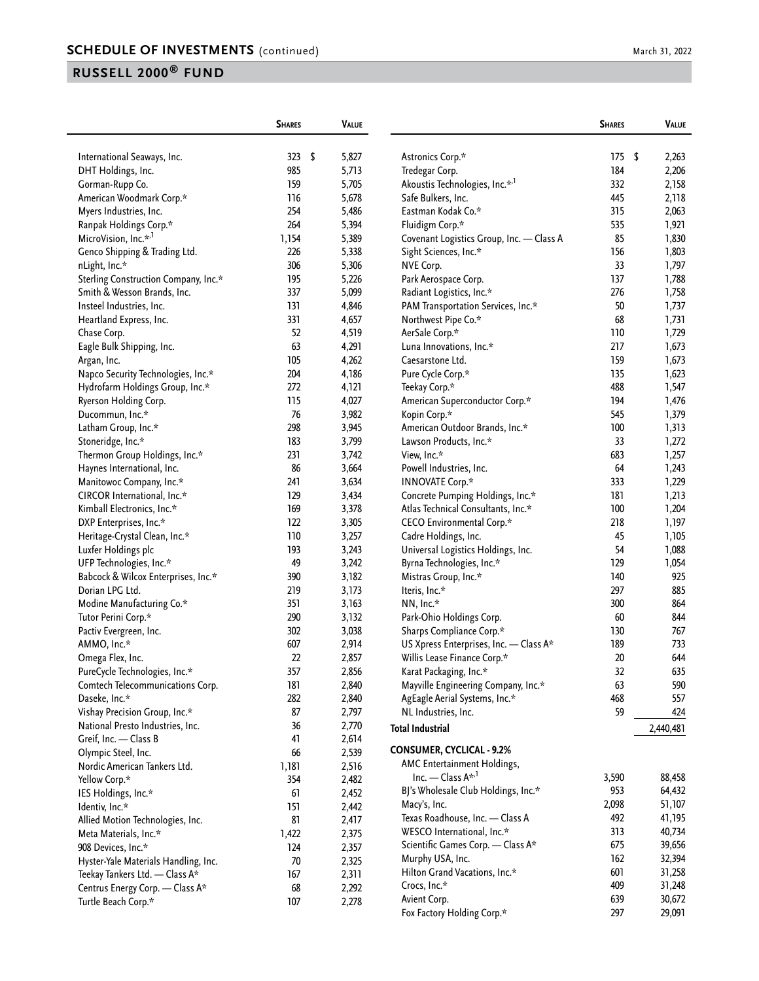| March 31, 2022 |  |
|----------------|--|
|                |  |

|                                      | <b>SHARES</b> | <b>VALUE</b> |                                           | <b>SHARES</b> | <b>VALUE</b> |
|--------------------------------------|---------------|--------------|-------------------------------------------|---------------|--------------|
| International Seaways, Inc.          | 323<br>- \$   | 5,827        | Astronics Corp.*                          | 175           | \$<br>2,263  |
| DHT Holdings, Inc.                   | 985           | 5,713        | Tredegar Corp.                            | 184           | 2,206        |
| Gorman-Rupp Co.                      | 159           | 5,705        | Akoustis Technologies, Inc.* <sup>1</sup> | 332           | 2,158        |
| American Woodmark Corp.*             | 116           | 5,678        | Safe Bulkers, Inc.                        | 445           | 2,118        |
| Myers Industries, Inc.               | 254           | 5,486        | Eastman Kodak Co.*                        | 315           | 2,063        |
| Ranpak Holdings Corp.*               | 264           | 5,394        | Fluidigm Corp.*                           | 535           | 1,921        |
| MicroVision, Inc.* <sup>,1</sup>     | 1,154         | 5,389        | Covenant Logistics Group, Inc. - Class A  | 85            | 1,830        |
| Genco Shipping & Trading Ltd.        | 226           | 5,338        | Sight Sciences, Inc.*                     | 156           | 1,803        |
| nLight, Inc.*                        | 306           | 5,306        | NVE Corp.                                 | 33            | 1,797        |
| Sterling Construction Company, Inc.* | 195           | 5,226        | Park Aerospace Corp.                      | 137           | 1,788        |
| Smith & Wesson Brands, Inc.          | 337           | 5,099        | Radiant Logistics, Inc.*                  | 276           | 1,758        |
| Insteel Industries, Inc.             | 131           | 4,846        | PAM Transportation Services, Inc.*        | 50            | 1,737        |
| Heartland Express, Inc.              | 331           | 4,657        | Northwest Pipe Co.*                       | 68            | 1,731        |
| Chase Corp.                          | 52            | 4,519        | AerSale Corp.*                            | 110           | 1,729        |
| Eagle Bulk Shipping, Inc.            | 63            | 4,291        | Luna Innovations, Inc.*                   | 217           | 1,673        |
| Argan, Inc.                          | 105           | 4,262        | Caesarstone Ltd.                          | 159           | 1,673        |
| Napco Security Technologies, Inc.*   | 204           | 4,186        | Pure Cycle Corp.*                         | 135           | 1,623        |
| Hydrofarm Holdings Group, Inc.*      | 272           | 4,121        | Teekay Corp.*                             | 488           | 1,547        |
| Ryerson Holding Corp.                | 115           | 4,027        | American Superconductor Corp.*            | 194           | 1,476        |
| Ducommun, Inc.*                      | 76            | 3,982        | Kopin Corp.*                              | 545           | 1,379        |
| Latham Group, Inc.*                  | 298           | 3,945        | American Outdoor Brands, Inc.*            | 100           | 1,313        |
| Stoneridge, Inc.*                    | 183           | 3,799        | Lawson Products, Inc.*                    | 33            | 1,272        |
| Thermon Group Holdings, Inc.*        | 231           | 3,742        | View, Inc.*                               | 683           | 1,257        |
| Haynes International, Inc.           | 86            | 3,664        | Powell Industries, Inc.                   | 64            | 1,243        |
| Manitowoc Company, Inc.*             | 241           | 3,634        | <b>INNOVATE Corp.*</b>                    | 333           | 1,229        |
| CIRCOR International, Inc.*          | 129           | 3,434        | Concrete Pumping Holdings, Inc.*          | 181           | 1,213        |
| Kimball Electronics, Inc.*           | 169           | 3,378        | Atlas Technical Consultants, Inc.*        | 100           | 1,204        |
| DXP Enterprises, Inc.*               | 122           | 3,305        | CECO Environmental Corp.*                 | 218           | 1,197        |
| Heritage-Crystal Clean, Inc.*        | 110           | 3,257        | Cadre Holdings, Inc.                      | 45            | 1,105        |
| Luxfer Holdings plc                  | 193           | 3,243        | Universal Logistics Holdings, Inc.        | 54            | 1,088        |
| UFP Technologies, Inc.*              | 49            | 3,242        | Byrna Technologies, Inc.*                 | 129           | 1,054        |
| Babcock & Wilcox Enterprises, Inc.*  | 390           | 3,182        | Mistras Group, Inc.*                      | 140           | 925          |
| Dorian LPG Ltd.                      | 219           | 3,173        | Iteris, Inc.*                             | 297           | 885          |
| Modine Manufacturing Co.*            | 351           | 3,163        | NN, Inc.*                                 | 300           | 864          |
| Tutor Perini Corp.*                  | 290           | 3,132        | Park-Ohio Holdings Corp.                  | 60            | 844          |
| Pactiv Evergreen, Inc.               | 302           | 3,038        | Sharps Compliance Corp.*                  | 130           | 767          |
| AMMO, Inc.*                          | 607           | 2,914        | US Xpress Enterprises, Inc. - Class A*    | 189           | 733          |
| Omega Flex, Inc.                     | 22            | 2,857        | Willis Lease Finance Corp.*               | 20            | 644          |
| PureCycle Technologies, Inc.*        | 357           | 2,856        | Karat Packaging, Inc.*                    | 32            | 635          |
| Comtech Telecommunications Corp.     | 181           | 2,840        | Mayville Engineering Company, Inc.*       | 63            | 590          |
| Daseke, Inc.*                        | 282           | 2,840        | AgEagle Aerial Systems, Inc.*             | 468           | 557          |
| Vishay Precision Group, Inc.*        | 87            | 2,797        | NL Industries, Inc.                       | 59            | 424          |
| National Presto Industries, Inc.     | 36            | 2,770        | <b>Total Industrial</b>                   |               | 2,440,481    |
| Greif, Inc. - Class B                | 41            | 2,614        |                                           |               |              |
| Olympic Steel, Inc.                  | 66            | 2,539        | <b>CONSUMER, CYCLICAL - 9.2%</b>          |               |              |
| Nordic American Tankers Ltd.         | 1,181         | 2,516        | AMC Entertainment Holdings,               |               |              |
| Yellow Corp.*                        | 354           | 2,482        | Inc. — Class $A^{\star,1}$                | 3,590         | 88,458       |
| IES Holdings, Inc.*                  | 61            | 2,452        | BJ's Wholesale Club Holdings, Inc.*       | 953           | 64,432       |
| Identiv, Inc.*                       | 151           | 2,442        | Macy's, Inc.                              | 2,098         | 51,107       |
| Allied Motion Technologies, Inc.     | 81            | 2,417        | Texas Roadhouse, Inc. - Class A           | 492           | 41,195       |
| Meta Materials, Inc.*                | 1,422         | 2,375        | WESCO International, Inc.*                | 313           | 40,734       |
| 908 Devices, Inc.*                   | 124           | 2,357        | Scientific Games Corp. - Class A*         | 675           | 39,656       |
| Hyster-Yale Materials Handling, Inc. | $70\,$        | 2,325        | Murphy USA, Inc.                          | 162           | 32,394       |
| Teekay Tankers Ltd. - Class A*       | 167           | 2,311        | Hilton Grand Vacations, Inc.*             | 601           | 31,258       |
| Centrus Energy Corp. - Class A*      | 68            | 2,292        | Crocs, Inc.*                              | 409           | 31,248       |
| Turtle Beach Corp.*                  | 107           | 2,278        | Avient Corp.                              | 639           | 30,672       |
|                                      |               |              | Fox Factory Holding Corp.*                | 297           | 29,091       |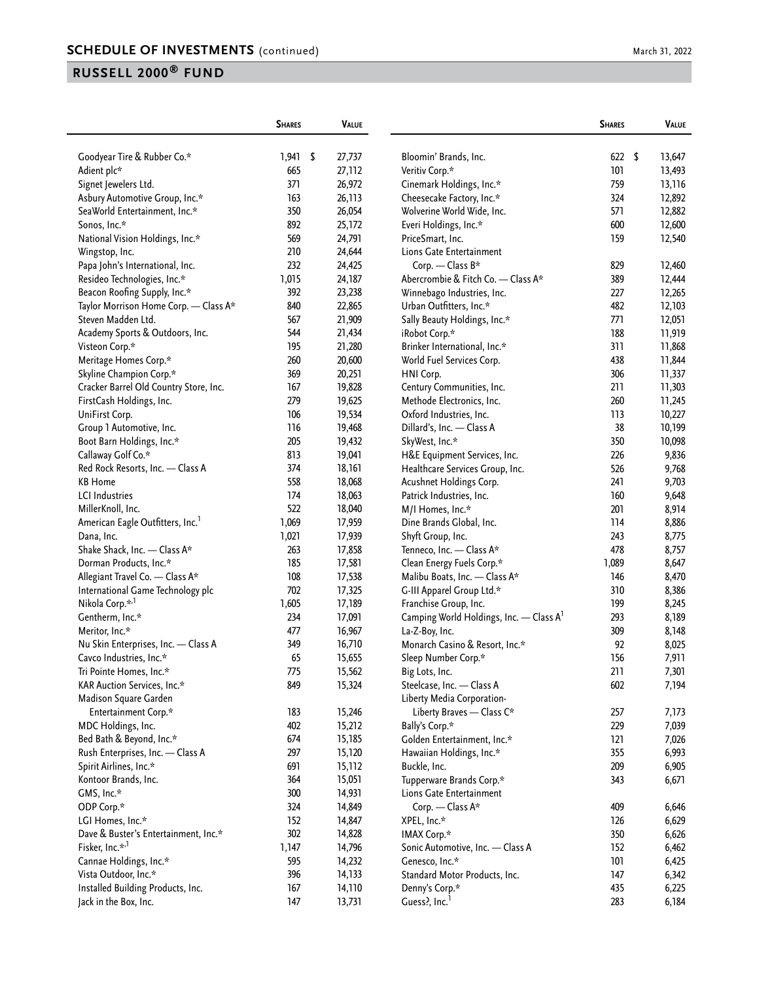|                                        | <b>SHARES</b> | <b>VALUE</b> |                                                     | <b>SHARES</b>    | <b>VALUE</b> |
|----------------------------------------|---------------|--------------|-----------------------------------------------------|------------------|--------------|
| Goodyear Tire & Rubber Co.*            | 1,941         | \$<br>27,737 | Bloomin' Brands, Inc.                               | 622 <sup>5</sup> | 13,647       |
| Adient plc*                            | 665           | 27,112       | Veritiv Corp.*                                      | 101              | 13,493       |
| Signet Jewelers Ltd.                   | 371           | 26,972       | Cinemark Holdings, Inc.*                            | 759              | 13,116       |
| Asbury Automotive Group, Inc.*         | 163           | 26,113       | Cheesecake Factory, Inc.*                           | 324              | 12,892       |
| SeaWorld Entertainment, Inc.*          | 350           | 26,054       | Wolverine World Wide, Inc.                          | 571              | 12,882       |
| Sonos, Inc.*                           | 892           | 25,172       | Everi Holdings, Inc.*                               | 600              | 12,600       |
| National Vision Holdings, Inc.*        | 569           | 24,791       | PriceSmart, Inc.                                    | 159              | 12,540       |
| Wingstop, Inc.                         | 210           | 24,644       | Lions Gate Entertainment                            |                  |              |
| Papa John's International, Inc.        | 232           | 24,425       | Corp. - Class B*                                    | 829              | 12,460       |
| Resideo Technologies, Inc.*            | 1,015         | 24,187       | Abercrombie & Fitch Co. - Class A*                  | 389              | 12,444       |
| Beacon Roofing Supply, Inc.*           | 392           | 23,238       | Winnebago Industries, Inc.                          | 227              | 12,265       |
| Taylor Morrison Home Corp. - Class A*  | 840           | 22,865       | Urban Outfitters, Inc.*                             | 482              | 12,103       |
| Steven Madden Ltd.                     | 567           | 21,909       | Sally Beauty Holdings, Inc.*                        | 771              | 12,051       |
| Academy Sports & Outdoors, Inc.        | 544           | 21,434       | iRobot Corp.*                                       | 188              | 11,919       |
| Visteon Corp.*                         | 195           | 21,280       | Brinker International, Inc.*                        | 311              | 11,868       |
| Meritage Homes Corp.*                  | 260           | 20,600       | World Fuel Services Corp.                           | 438              | 11,844       |
| Skyline Champion Corp.*                | 369           | 20,251       | HNI Corp.                                           | 306              | 11,337       |
| Cracker Barrel Old Country Store, Inc. | 167           | 19,828       | Century Communities, Inc.                           | 211              | 11,303       |
| FirstCash Holdings, Inc.               | 279           | 19,625       | Methode Electronics, Inc.                           | 260              | 11,245       |
| UniFirst Corp.                         | 106           | 19,534       | Oxford Industries, Inc.                             | 113              | 10,227       |
| Group 1 Automotive, Inc.               | 116           | 19,468       | Dillard's, Inc. - Class A                           | 38               | 10,199       |
| Boot Barn Holdings, Inc.*              | 205           | 19,432       | SkyWest, Inc.*                                      | 350              | 10,098       |
| Callaway Golf Co.*                     | 813           | 19,041       | H&E Equipment Services, Inc.                        | 226              | 9,836        |
| Red Rock Resorts, Inc. - Class A       | 374           | 18,161       | Healthcare Services Group, Inc.                     | 526              | 9,768        |
| <b>KB Home</b>                         | 558           | 18,068       | Acushnet Holdings Corp.                             | 241              | 9,703        |
| <b>LCI</b> Industries                  | 174           | 18,063       | Patrick Industries, Inc.                            | 160              | 9,648        |
| MillerKnoll, Inc.                      | 522           | 18,040       | M/I Homes, Inc.*                                    | 201              | 8,914        |
| American Eagle Outfitters, Inc.        | 1,069         | 17,959       | Dine Brands Global, Inc.                            | 114              | 8,886        |
| Dana, Inc.                             | 1,021         | 17,939       | Shyft Group, Inc.                                   | 243              | 8,775        |
| Shake Shack, Inc. - Class A*           | 263           | 17,858       | Tenneco, Inc. - Class A*                            | 478              | 8,757        |
| Dorman Products, Inc.*                 | 185           | 17,581       | Clean Energy Fuels Corp.*                           | 1,089            | 8,647        |
| Allegiant Travel Co. - Class A*        | 108           | 17,538       | Malibu Boats, Inc. - Class A*                       | 146              | 8,470        |
| International Game Technology plc      | 702           | 17,325       | G-III Apparel Group Ltd.*                           | 310              | 8,386        |
| Nikola Corp.* <sup>,1</sup>            | 1,605         | 17,189       | Franchise Group, Inc.                               | 199              | 8,245        |
| Gentherm, Inc.*                        | 234           | 17,091       | Camping World Holdings, Inc. - Class A <sup>1</sup> | 293              | 8,189        |
| Meritor, Inc.*                         | 477           | 16,967       | La-Z-Boy, Inc.                                      | 309              | 8,148        |
| Nu Skin Enterprises, Inc. - Class A    | 349           | 16,710       | Monarch Casino & Resort, Inc.*                      | 92               | 8,025        |
| Cavco Industries, Inc.*                | 65            | 15,655       | Sleep Number Corp.*                                 | 156              | 7,911        |
| Tri Pointe Homes, Inc.*                | 775           | 15,562       | Big Lots, Inc.                                      | 211              | 7,301        |
| KAR Auction Services, Inc.*            | 849           | 15,324       | Steelcase, Inc. - Class A                           | 602              | 7,194        |
| Madison Square Garden                  |               |              | Liberty Media Corporation-                          |                  |              |
| Entertainment Corp.*                   | 183           | 15,246       | Liberty Braves - Class C*                           | 257              | 7,173        |
| MDC Holdings, Inc.                     | 402           | 15,212       | Bally's Corp.*                                      | 229              | 7,039        |
| Bed Bath & Beyond, Inc.*               | 674           | 15,185       | Golden Entertainment, Inc.*                         | 121              | 7,026        |
| Rush Enterprises, Inc. - Class A       | 297           | 15,120       | Hawaiian Holdings, Inc.*                            | 355              | 6,993        |
| Spirit Airlines, Inc.*                 | 691           | 15,112       | Buckle, Inc.                                        | 209              | 6,905        |
| Kontoor Brands, Inc.                   | 364           | 15,051       | Tupperware Brands Corp.*                            | 343              | 6,671        |
| GMS, Inc.*                             | 300           | 14,931       | Lions Gate Entertainment                            |                  |              |
| ODP Corp.*                             | 324           | 14,849       | Corp. - Class A*                                    | 409              | 6,646        |
| LGI Homes, Inc.*                       | 152           | 14,847       | XPEL, Inc.*                                         | 126              | 6,629        |
| Dave & Buster's Entertainment, Inc.*   | 302           | 14,828       | IMAX Corp.*                                         | 350              | 6,626        |
| Fisker, Inc.* <sup>,1</sup>            | 1,147         | 14,796       | Sonic Automotive, Inc. - Class A                    | 152              | 6,462        |
| Cannae Holdings, Inc.*                 | 595           | 14,232       | Genesco, Inc.*                                      | 101              | 6,425        |
| Vista Outdoor, Inc.*                   | 396           | 14,133       | Standard Motor Products, Inc.                       | 147              | 6,342        |
| Installed Building Products, Inc.      | 167           | 14,110       | Denny's Corp.*                                      | 435              | 6,225        |
| Jack in the Box, Inc.                  | 147           | 13,731       | Guess?, Inc. <sup>1</sup>                           | 283              | 6,184        |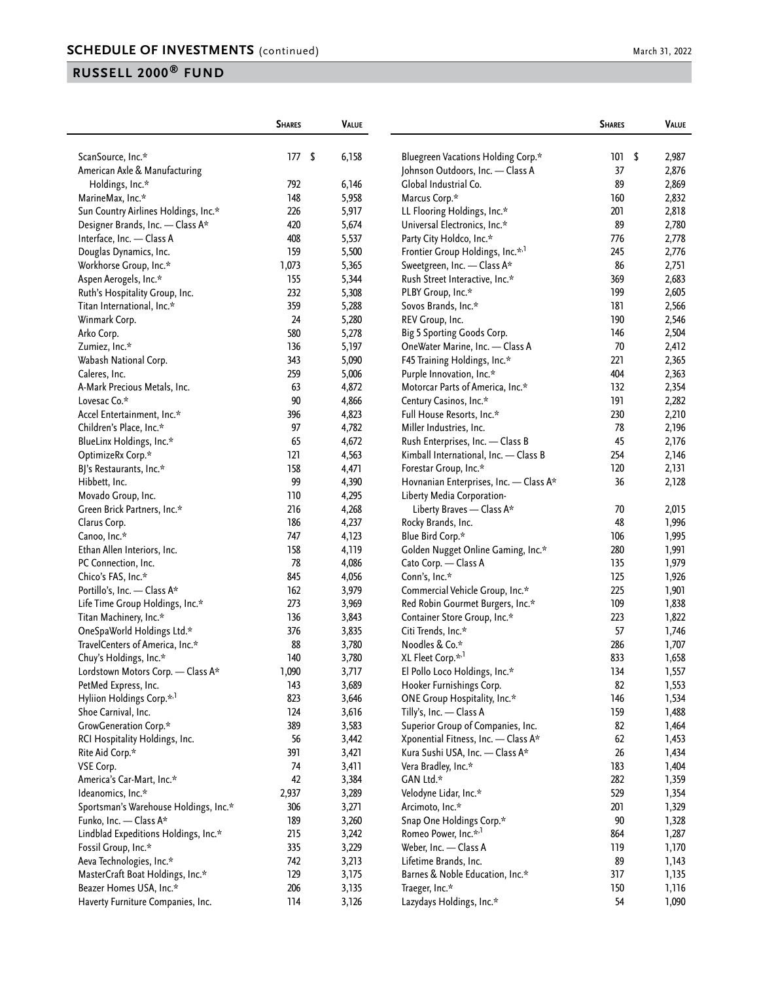|                                       | <b>SHARES</b> | <b>VALUE</b> |                                        | <b>SHARES</b> | VALUE       |
|---------------------------------------|---------------|--------------|----------------------------------------|---------------|-------------|
| ScanSource, Inc.*                     | 177           | \$<br>6,158  | Bluegreen Vacations Holding Corp.*     | 101           | \$<br>2,987 |
| American Axle & Manufacturing         |               |              | Johnson Outdoors, Inc. - Class A       | 37            | 2,876       |
| Holdings, Inc.*                       | 792           | 6,146        | Global Industrial Co.                  | 89            | 2,869       |
| MarineMax, Inc.*                      | 148           | 5,958        | Marcus Corp.*                          | 160           | 2,832       |
| Sun Country Airlines Holdings, Inc.*  | 226           | 5,917        | LL Flooring Holdings, Inc.*            | 201           | 2,818       |
| Designer Brands, Inc. - Class A*      | 420           | 5,674        | Universal Electronics, Inc.*           | 89            | 2,780       |
| Interface, Inc. - Class A             | 408           | 5,537        | Party City Holdco, Inc.*               | 776           | 2,778       |
| Douglas Dynamics, Inc.                | 159           | 5,500        | Frontier Group Holdings, Inc.*,1       | 245           | 2,776       |
| Workhorse Group, Inc.*                | 1,073         | 5,365        | Sweetgreen, Inc. - Class A*            | 86            | 2,751       |
| Aspen Aerogels, Inc.*                 | 155           | 5,344        | Rush Street Interactive, Inc.*         | 369           | 2,683       |
| Ruth's Hospitality Group, Inc.        | 232           | 5,308        | PLBY Group, Inc.*                      | 199           | 2,605       |
| Titan International, Inc.*            | 359           | 5,288        | Sovos Brands, Inc.*                    | 181           | 2,566       |
| Winmark Corp.                         | 24            | 5,280        | REV Group, Inc.                        | 190           | 2,546       |
| Arko Corp.                            | 580           | 5,278        | Big 5 Sporting Goods Corp.             | 146           | 2,504       |
| Zumiez, Inc.*                         | 136           | 5,197        | OneWater Marine, Inc. - Class A        | 70            | 2,412       |
| Wabash National Corp.                 | 343           | 5,090        | F45 Training Holdings, Inc.*           | 221           | 2,365       |
| Caleres, Inc.                         | 259           | 5,006        | Purple Innovation, Inc.*               | 404           | 2,363       |
| A-Mark Precious Metals, Inc.          | 63            | 4,872        | Motorcar Parts of America, Inc.*       | 132           | 2,354       |
| Lovesac Co.*                          | 90            | 4,866        | Century Casinos, Inc.*                 | 191           | 2,282       |
| Accel Entertainment, Inc.*            | 396           | 4,823        | Full House Resorts, Inc.*              | 230           | 2,210       |
| Children's Place, Inc.*               | 97            | 4,782        | Miller Industries, Inc.                | 78            | 2,196       |
| BlueLinx Holdings, Inc.*              | 65            | 4,672        | Rush Enterprises, Inc. - Class B       | 45            | 2,176       |
| OptimizeRx Corp.*                     | 121           | 4,563        | Kimball International, Inc. - Class B  | 254           | 2,146       |
| BJ's Restaurants, Inc.*               | 158           | 4,471        | Forestar Group, Inc.*                  | 120           | 2,131       |
| Hibbett, Inc.                         | 99            | 4,390        | Hovnanian Enterprises, Inc. - Class A* | 36            | 2,128       |
| Movado Group, Inc.                    | 110           | 4,295        | Liberty Media Corporation-             |               |             |
| Green Brick Partners, Inc.*           | 216           | 4,268        | Liberty Braves - Class A*              | 70            | 2,015       |
| Clarus Corp.                          | 186           | 4,237        | Rocky Brands, Inc.                     | 48            | 1,996       |
| Canoo, Inc.*                          | 747           | 4,123        | Blue Bird Corp.*                       | 106           | 1,995       |
| Ethan Allen Interiors, Inc.           | 158           | 4,119        | Golden Nugget Online Gaming, Inc.*     | 280           | 1,991       |
| PC Connection, Inc.                   | 78            | 4,086        | Cato Corp. - Class A                   | 135           | 1,979       |
| Chico's FAS, Inc.*                    | 845           | 4,056        | Conn's, Inc.*                          | 125           | 1,926       |
| Portillo's, Inc. - Class A*           | 162           | 3,979        | Commercial Vehicle Group, Inc.*        | 225           | 1,901       |
| Life Time Group Holdings, Inc.*       | 273           | 3,969        | Red Robin Gourmet Burgers, Inc.*       | 109           | 1,838       |
| Titan Machinery, Inc.*                | 136           | 3,843        | Container Store Group, Inc.*           | 223           | 1,822       |
| OneSpaWorld Holdings Ltd.*            | 376           | 3,835        | Citi Trends, Inc.*                     | 57            | 1,746       |
| TravelCenters of America, Inc.*       | 88            | 3,780        | Noodles & Co.*                         | 286           | 1,707       |
| Chuy's Holdings, Inc.*                | 140           | 3,780        | XL Fleet Corp.* <sup>,1</sup>          | 833           | 1,658       |
| Lordstown Motors Corp. - Class A*     | 1,090         | 3,/I/        | El Pollo Loco Holdings, Inc.*          | 134           | 1,557       |
| PetMed Express, Inc.                  | 143           | 3,689        | Hooker Furnishings Corp.               | 82            | 1,553       |
| Hyliion Holdings Corp.* <sup>1</sup>  | 823           | 3,646        | ONE Group Hospitality, Inc.*           | 146           | 1,534       |
| Shoe Carnival, Inc.                   | 124           | 3,616        | Tilly's, Inc. - Class A                | 159           | 1,488       |
| GrowGeneration Corp.*                 | 389           | 3,583        | Superior Group of Companies, Inc.      | 82            | 1,464       |
| RCI Hospitality Holdings, Inc.        | 56            | 3,442        | Xponential Fitness, Inc. - Class A*    | 62            | 1,453       |
| Rite Aid Corp.*                       | 391           | 3,421        | Kura Sushi USA, Inc. - Class A*        | 26            | 1,434       |
| VSE Corp.                             | 74            | 3,411        | Vera Bradley, Inc.*                    | 183           | 1,404       |
| America's Car-Mart, Inc.*             | 42            | 3,384        | GAN Ltd.*                              | 282           | 1,359       |
| Ideanomics, Inc.*                     | 2,937         | 3,289        | Velodyne Lidar, Inc.*                  | 529           | 1,354       |
| Sportsman's Warehouse Holdings, Inc.* | 306           | 3,271        | Arcimoto, Inc.*                        | 201           | 1,329       |
| Funko, Inc. - Class A*                | 189           | 3,260        | Snap One Holdings Corp.*               | $90\,$        | 1,328       |
| Lindblad Expeditions Holdings, Inc.*  | 215           | 3,242        | Romeo Power, Inc.* <sup>,1</sup>       | 864           | 1,287       |
| Fossil Group, Inc.*                   | 335           | 3,229        | Weber, Inc. - Class A                  | 119           | 1,170       |
| Aeva Technologies, Inc.*              | 742           | 3,213        | Lifetime Brands, Inc.                  | 89            | 1,143       |
| MasterCraft Boat Holdings, Inc.*      | 129           | 3,175        | Barnes & Noble Education, Inc.*        | 317           | 1,135       |
| Beazer Homes USA, Inc.*               | 206           |              | Traeger, Inc.*                         | 150           |             |
|                                       |               | 3,135        |                                        |               | 1,116       |
| Haverty Furniture Companies, Inc.     | 114           | 3,126        | Lazydays Holdings, Inc.*               | 54            | 1,090       |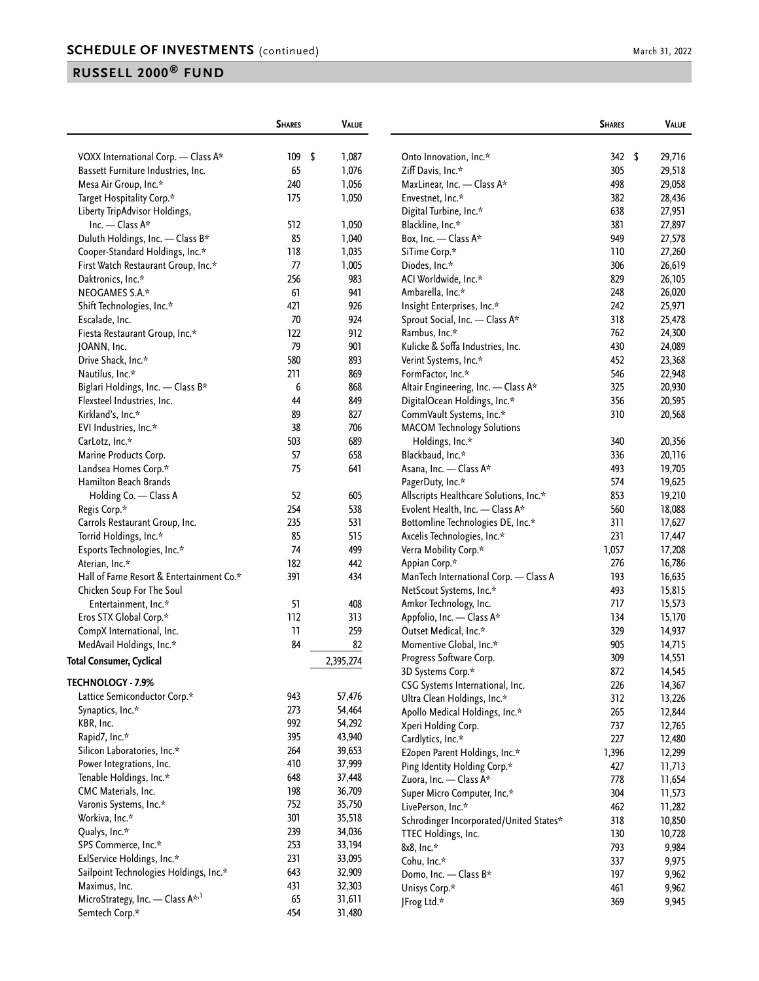|                                                   | <b>SHARES</b> | <b>VALUE</b> |                                                      | <b>SHARES</b>                                        | <b>VALUE</b>        |
|---------------------------------------------------|---------------|--------------|------------------------------------------------------|------------------------------------------------------|---------------------|
| VOXX International Corp. - Class A*               | 109           | \$<br>1,087  | Onto Innovation, Inc.*                               |                                                      | \$<br>342<br>29,716 |
| Bassett Furniture Industries, Inc.                | 65            | 1,076        | Ziff Davis, Inc.*                                    | 305                                                  | 29,518              |
| Mesa Air Group, Inc.*                             | 240           | 1,056        | MaxLinear, Inc. - Class A*                           | 498                                                  | 29,058              |
| Target Hospitality Corp.*                         | 175           | 1,050        | Envestnet, Inc.*                                     | 382                                                  | 28,436              |
| Liberty TripAdvisor Holdings,                     |               |              | Digital Turbine, Inc.*                               | 638                                                  | 27,951              |
| Inc. $-$ Class A*                                 | 512           | 1,050        | Blackline, Inc.*                                     | 381                                                  | 27,897              |
| Duluth Holdings, Inc. - Class B*                  | 85            | 1,040        | Box, Inc. — Class $A^*$                              | 949                                                  | 27,578              |
| Cooper-Standard Holdings, Inc.*                   | 118           | 1,035        | SiTime Corp.*                                        | 110                                                  | 27,260              |
| First Watch Restaurant Group, Inc.*               | 77            | 1,005        | Diodes, Inc.*                                        | 306                                                  | 26,619              |
| Daktronics, Inc.*                                 | 256           | 983          | ACI Worldwide, Inc.*                                 | 829                                                  | 26,105              |
| NEOGAMES S.A.*                                    | 61            | 941          | Ambarella, Inc.*                                     | 248                                                  | 26,020              |
| Shift Technologies, Inc.*                         | 421           | 926          | Insight Enterprises, Inc.*                           | 242                                                  | 25,971              |
| Escalade, Inc.                                    | 70            | 924          | Sprout Social, Inc. - Class A*                       | 318                                                  | 25,478              |
| Fiesta Restaurant Group, Inc.*                    | 122           | 912          | Rambus, Inc.*                                        | 762                                                  | 24,300              |
| JOANN, Inc.                                       | 79            | 901          | Kulicke & Soffa Industries, Inc.                     | 430                                                  | 24,089              |
| Drive Shack, Inc.*                                | 580           | 893          | Verint Systems, Inc.*                                | 452                                                  | 23,368              |
| Nautilus, Inc.*                                   | 211           | 869          | FormFactor, Inc.*                                    | 546                                                  | 22,948              |
| Biglari Holdings, Inc. - Class B*                 | 6             | 868          |                                                      | Altair Engineering, Inc. - Class A*<br>325           | 20,930              |
| Flexsteel Industries, Inc.                        | 44            | 849          | DigitalOcean Holdings, Inc.*                         | 356                                                  | 20,595              |
| Kirkland's, Inc.*                                 | 89            | 827          | CommVault Systems, Inc.*                             | 310                                                  | 20,568              |
|                                                   | 38            | 706          | <b>MACOM Technology Solutions</b>                    |                                                      |                     |
| EVI Industries, Inc.*<br>CarLotz, Inc.*           | 503           | 689          | Holdings, Inc.*                                      | 340                                                  | 20,356              |
| Marine Products Corp.                             | 57            | 658          | Blackbaud, Inc.*                                     | 336                                                  | 20,116              |
| Landsea Homes Corp.*                              | 75            | 641          | Asana, Inc. - Class A*                               | 493                                                  | 19,705              |
| Hamilton Beach Brands                             |               |              |                                                      | 574                                                  |                     |
|                                                   | 52            | 605          | PagerDuty, Inc.*                                     |                                                      | 19,625              |
| Holding Co. - Class A<br>Regis Corp.*             | 254           | 538          | Evolent Health, Inc. - Class A*                      | Allscripts Healthcare Solutions, Inc.*<br>853<br>560 | 19,210<br>18,088    |
|                                                   | 235           | 531          |                                                      | 311<br>Bottomline Technologies DE, Inc.*             | 17,627              |
| Carrols Restaurant Group, Inc.                    | 85            |              |                                                      | 231                                                  |                     |
| Torrid Holdings, Inc.*                            | 74            | 515          | Axcelis Technologies, Inc.*<br>Verra Mobility Corp.* | 1,057                                                | 17,447<br>17,208    |
| Esports Technologies, Inc.*<br>Aterian, Inc.*     | 182           | 499<br>442   | Appian Corp.*                                        | 276                                                  | 16,786              |
| Hall of Fame Resort & Entertainment Co.*          | 391           | 434          |                                                      | 193                                                  |                     |
|                                                   |               |              | NetScout Systems, Inc.*                              | ManTech International Corp. - Class A<br>493         | 16,635<br>15,815    |
| Chicken Soup For The Soul<br>Entertainment, Inc.* | 51            | 408          | Amkor Technology, Inc.                               | 717                                                  | 15,573              |
| Eros STX Global Corp.*                            | 112           | 313          | Appfolio, Inc. - Class A*                            | 134                                                  | 15,170              |
| CompX International, Inc.                         | 11            | 259          | Outset Medical, Inc.*                                | 329                                                  | 14,937              |
| MedAvail Holdings, Inc.*                          | 84            | 82           | Momentive Global, Inc.*                              | 905                                                  | 14,715              |
|                                                   |               |              | Progress Software Corp.                              | 309                                                  | 14,551              |
| <b>Total Consumer, Cyclical</b>                   |               | 2,395,274    | 3D Systems Corp.*                                    | 872                                                  | 14,545              |
| <b>TECHNOLOGY - 7.9%</b>                          |               |              | CSG Systems International, Inc.                      | 226                                                  | 14,367              |
| Lattice Semiconductor Corp.*                      | 943           | 57,476       | Ultra Clean Holdings, Inc.*                          | 312                                                  |                     |
| Synaptics, Inc.*                                  | 273           | 54,464       | Apollo Medical Holdings, Inc.*                       | 265                                                  | 13,226<br>12,844    |
| KBR, Inc.                                         | 992           | 54,292       |                                                      | 737                                                  |                     |
| Rapid7, Inc.*                                     | 395           | 43,940       | Xperi Holding Corp.                                  | 227                                                  | 12,765              |
| Silicon Laboratories, Inc.*                       | 264           | 39,653       | Cardlytics, Inc.*                                    |                                                      | 12,480              |
| Power Integrations, Inc.                          | 410           | 37,999       | E2open Parent Holdings, Inc.*                        | 1,396                                                | 12,299              |
| Tenable Holdings, Inc.*                           | 648           | 37,448       | Ping Identity Holding Corp.*                         | 427                                                  | 11,713              |
| CMC Materials, Inc.                               | 198           | 36,709       | Zuora, Inc. - Class A*                               | 778                                                  | 11,654              |
| Varonis Systems, Inc.*                            | 752           | 35,750       | Super Micro Computer, Inc.*                          | 304                                                  | 11,573              |
| Workiva, Inc.*                                    | 301           | 35,518       | LivePerson, Inc.*                                    | 462                                                  | 11,282              |
| Qualys, Inc.*                                     | 239           | 34,036       |                                                      | 318<br>Schrodinger Incorporated/United States*       | 10,850              |
| SPS Commerce, Inc.*                               | 253           | 33,194       | TTEC Holdings, Inc.                                  | 130                                                  | 10,728              |
| ExlService Holdings, Inc.*                        | 231           | 33,095       | 8x8, Inc.*                                           | 793                                                  | 9,984               |
| Sailpoint Technologies Holdings, Inc.*            | 643           | 32,909       | Cohu, Inc.*                                          | 337                                                  | 9,975               |
| Maximus, Inc.                                     | 431           | 32,303       | Domo, Inc. - Class B*                                | 197                                                  | 9,962               |
| MicroStrategy, Inc. - Class A <sup>*,1</sup>      | 65            | 31,611       | Unisys Corp.*                                        | 461                                                  | 9,962               |
| Semtech Corp.*                                    | 454           | 31,480       | JFrog Ltd.*                                          | 369                                                  | 9,945               |
|                                                   |               |              |                                                      |                                                      |                     |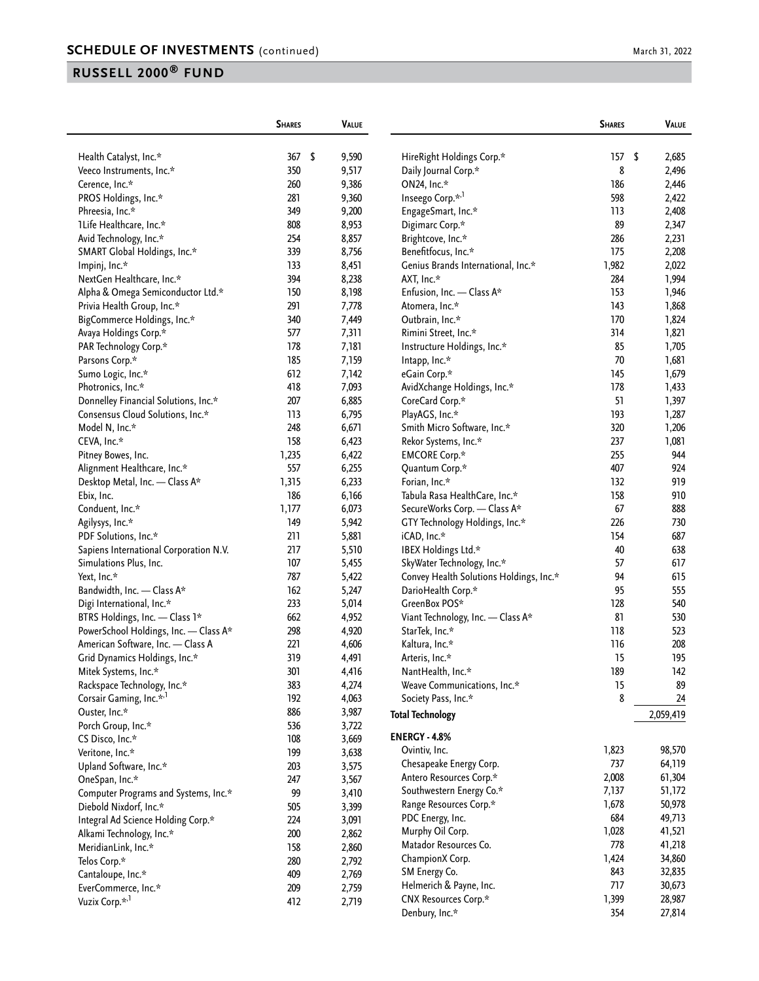|                                                                  | <b>SHARES</b> | <b>VALUE</b>   |                                               | <b>SHARES</b>    | VALUE     |
|------------------------------------------------------------------|---------------|----------------|-----------------------------------------------|------------------|-----------|
| Health Catalyst, Inc.*                                           | 367           | \$<br>9,590    | HireRight Holdings Corp.*                     | 157 <sub>5</sub> | 2,685     |
| Veeco Instruments, Inc.*                                         | 350           | 9,517          | Daily Journal Corp.*                          | 8                | 2,496     |
| Cerence, Inc.*                                                   | 260           | 9,386          | ON24, Inc.*                                   | 186              | 2,446     |
| PROS Holdings, Inc.*                                             | 281           | 9,360          | Inseego Corp.* <sup>,1</sup>                  | 598              | 2,422     |
| Phreesia, Inc.*                                                  | 349           | 9,200          | EngageSmart, Inc.*                            | 113              | 2,408     |
| 1Life Healthcare, Inc.*                                          | 808           | 8,953          | Digimarc Corp.*                               | 89               | 2,347     |
| Avid Technology, Inc.*                                           | 254           | 8,857          | Brightcove, Inc.*                             | 286              | 2,231     |
| SMART Global Holdings, Inc.*                                     | 339           | 8,756          | Benefitfocus, Inc.*                           | 175              | 2,208     |
| Impinj, Inc.*                                                    | 133           | 8,451          | Genius Brands International, Inc.*            | 1,982            | 2,022     |
| NextGen Healthcare, Inc.*                                        | 394           | 8,238          | AXT, Inc.*                                    | 284              | 1,994     |
| Alpha & Omega Semiconductor Ltd.*                                | 150           | 8,198          | Enfusion, Inc. - Class A*                     | 153              | 1,946     |
| Privia Health Group, Inc.*                                       | 291           | 7,778          | Atomera, Inc.*                                | 143              | 1,868     |
| BigCommerce Holdings, Inc.*                                      | 340           | 7,449          | Outbrain, Inc.*                               | 170              | 1,824     |
| Avaya Holdings Corp.*                                            | 577           | 7,311          | Rimini Street, Inc.*                          | 314              | 1,821     |
| PAR Technology Corp.*                                            | 178           | 7,181          | Instructure Holdings, Inc.*                   | 85               | 1,705     |
| Parsons Corp.*                                                   | 185           | 7,159          | Intapp, Inc.*                                 | 70               | 1,681     |
| Sumo Logic, Inc.*                                                | 612           | 7,142          | eGain Corp.*                                  | 145              | 1,679     |
| Photronics, Inc.*                                                | 418           | 7,093          | AvidXchange Holdings, Inc.*                   | 178              | 1,433     |
| Donnelley Financial Solutions, Inc.*                             | 207           | 6,885          | CoreCard Corp.*                               | 51               | 1,397     |
| Consensus Cloud Solutions, Inc.*                                 | 113           | 6,795          | PlayAGS, Inc.*                                | 193              | 1,287     |
| Model N, Inc.*                                                   | 248           | 6,671          | Smith Micro Software, Inc.*                   | 320              | 1,206     |
| CEVA, Inc.*                                                      | 158           | 6,423          | Rekor Systems, Inc.*                          | 237              | 1,081     |
| Pitney Bowes, Inc.                                               | 1,235         | 6,422          | <b>EMCORE Corp.*</b>                          | 255              | 944       |
| Alignment Healthcare, Inc.*                                      | 557           | 6,255          | Quantum Corp.*                                | 407              | 924       |
| Desktop Metal, Inc. - Class A*                                   | 1,315         | 6,233          | Forian, Inc.*                                 | 132              | 919       |
| Ebix, Inc.                                                       | 186           | 6,166          | Tabula Rasa HealthCare, Inc.*                 | 158              | 910       |
| Conduent, Inc.*                                                  | 1,177         | 6,073          | SecureWorks Corp. - Class A*                  | 67               | 888       |
|                                                                  | 149           |                |                                               | 226              | 730       |
| Agilysys, Inc.*<br>PDF Solutions, Inc.*                          | 211           | 5,942<br>5,881 | GTY Technology Holdings, Inc.*<br>iCAD, Inc.* | 154              | 687       |
|                                                                  | 217           | 5,510          | IBEX Holdings Ltd.*                           | 40               | 638       |
| Sapiens International Corporation N.V.<br>Simulations Plus, Inc. | 107           | 5,455          | SkyWater Technology, Inc.*                    | 57               | 617       |
| Yext, Inc.*                                                      | 787           |                |                                               | 94               | 615       |
|                                                                  | 162           | 5,422          | Convey Health Solutions Holdings, Inc.*       | 95               | 555       |
| Bandwidth, Inc. - Class A*                                       | 233           | 5,247          | DarioHealth Corp.*<br>GreenBox POS*           | 128              | 540       |
| Digi International, Inc.*                                        |               | 5,014          |                                               |                  |           |
| BTRS Holdings, Inc. - Class 1*                                   | 662           | 4,952          | Viant Technology, Inc. - Class A*             | 81               | 530       |
| PowerSchool Holdings, Inc. - Class A*                            | 298           | 4,920          | StarTek, Inc.*                                | 118              | 523       |
| American Software, Inc. - Class A                                | 221           | 4,606          | Kaltura, Inc.*                                | 116              | 208       |
| Grid Dynamics Holdings, Inc.*                                    | 319           | 4,491          | Arteris, Inc.*                                | 15               | 195       |
| Mitek Systems, Inc.*                                             | 301           | 4,416          | NantHealth, Inc.*                             | 189              | 142       |
| Rackspace Technology, Inc.*                                      | 383           | 4,274          | Weave Communications, Inc.*                   | 15               | 89        |
| Corsair Gaming, Inc.* <sup>,1</sup>                              | 192           | 4,063          | Society Pass, Inc.*                           | 8                | 24        |
| Ouster, Inc.*                                                    | 886           | 3,987          | <b>Total Technology</b>                       |                  | 2,059,419 |
| Porch Group, Inc.*                                               | 536           | 3,722          | <b>ENERGY - 4.8%</b>                          |                  |           |
| CS Disco, Inc.*                                                  | 108           | 3,669          | Ovintiv, Inc.                                 | 1,823            | 98,570    |
| Veritone, Inc.*                                                  | 199           | 3,638          |                                               | 737              | 64,119    |
| Upland Software, Inc.*                                           | 203           | 3,575          | Chesapeake Energy Corp.                       |                  |           |
| OneSpan, Inc.*                                                   | 247           | 3,567          | Antero Resources Corp.*                       | 2,008            | 61,304    |
| Computer Programs and Systems, Inc.*                             | 99            | 3,410          | Southwestern Energy Co.*                      | 7,137            | 51,172    |
| Diebold Nixdorf, Inc.*                                           | 505           | 3,399          | Range Resources Corp.*                        | 1,678            | 50,978    |
| Integral Ad Science Holding Corp.*                               | 224           | 3,091          | PDC Energy, Inc.                              | 684              | 49,713    |
| Alkami Technology, Inc.*                                         | 200           | 2,862          | Murphy Oil Corp.                              | 1,028            | 41,521    |
| MeridianLink, Inc.*                                              | 158           | 2,860          | Matador Resources Co.                         | 778              | 41,218    |
| Telos Corp.*                                                     | 280           | 2,792          | ChampionX Corp.                               | 1,424            | 34,860    |
| Cantaloupe, Inc.*                                                | 409           | 2,769          | SM Energy Co.                                 | 843              | 32,835    |
| EverCommerce, Inc.*                                              | 209           | 2,759          | Helmerich & Payne, Inc.                       | 717              | 30,673    |
| Vuzix Corp. <sup>*,1</sup>                                       | 412           | 2,719          | CNX Resources Corp.*                          | 1,399            | 28,987    |
|                                                                  |               |                | Denbury, Inc.*                                | 354              | 27,814    |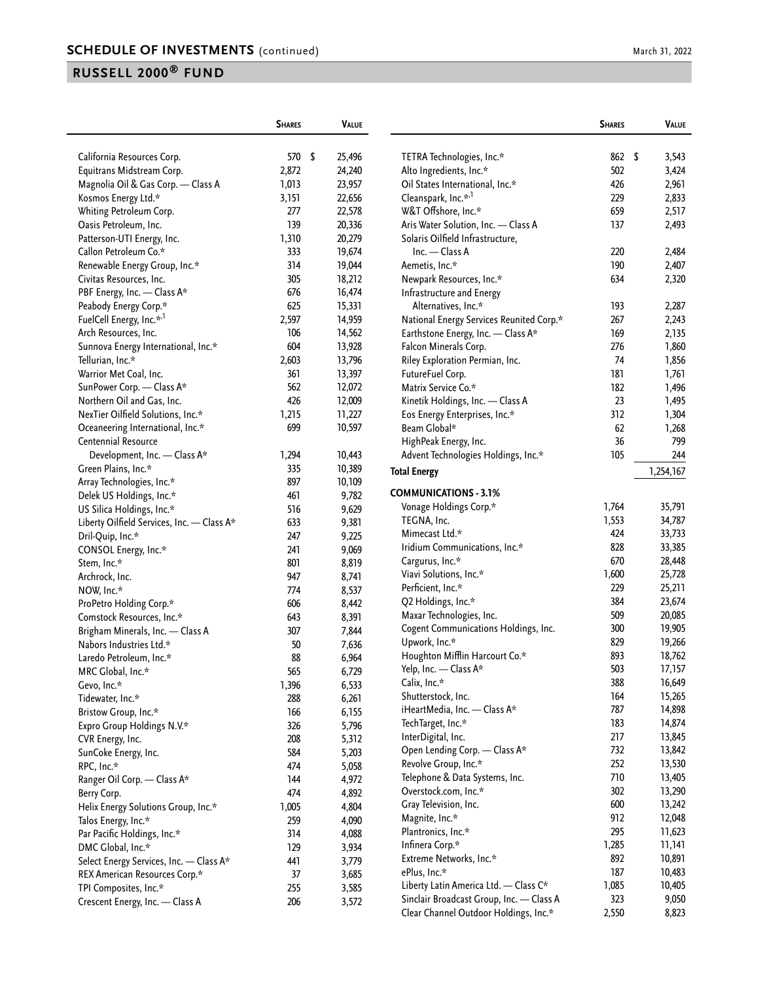| March 31, 2022 |  |  |  |
|----------------|--|--|--|
|----------------|--|--|--|

|                                            | <b>SHARES</b> | <b>VALUE</b> |                                          | <b>SHARES</b> | VALUE       |
|--------------------------------------------|---------------|--------------|------------------------------------------|---------------|-------------|
| California Resources Corp.                 | 570 \$        | 25,496       | TETRA Technologies, Inc.*                | 862           | \$<br>3,543 |
| Equitrans Midstream Corp.                  | 2,872         | 24,240       | Alto Ingredients, Inc.*                  | 502           | 3,424       |
| Magnolia Oil & Gas Corp. - Class A         | 1,013         | 23,957       | Oil States International, Inc.*          | 426           | 2,961       |
| Kosmos Energy Ltd.*                        | 3,151         | 22,656       | Cleanspark, Inc.* <sup>,1</sup>          | 229           | 2,833       |
| Whiting Petroleum Corp.                    | 277           | 22,578       | W&T Offshore, Inc.*                      | 659           | 2,517       |
| Oasis Petroleum, Inc.                      | 139           | 20,336       | Aris Water Solution, Inc. - Class A      | 137           | 2,493       |
| Patterson-UTI Energy, Inc.                 | 1,310         | 20,279       | Solaris Oilfield Infrastructure,         |               |             |
| Callon Petroleum Co.*                      | 333           | 19,674       | $Inc. - Class A$                         | 220           | 2,484       |
| Renewable Energy Group, Inc.*              | 314           | 19,044       | Aemetis, Inc.*                           | 190           | 2,407       |
| Civitas Resources, Inc.                    | 305           | 18,212       | Newpark Resources, Inc.*                 | 634           | 2,320       |
| PBF Energy, Inc. - Class A*                | 676           | 16,474       | Infrastructure and Energy                |               |             |
| Peabody Energy Corp.*                      | 625           | 15,331       | Alternatives, Inc.*                      | 193           | 2,287       |
| FuelCell Energy, Inc.* <sup>1</sup>        | 2,597         | 14,959       | National Energy Services Reunited Corp.* | 267           | 2,243       |
| Arch Resources, Inc.                       | 106           | 14,562       | Earthstone Energy, Inc. - Class A*       | 169           | 2,135       |
| Sunnova Energy International, Inc.*        | 604           | 13,928       | Falcon Minerals Corp.                    | 276           | 1,860       |
| Tellurian, Inc.*                           | 2,603         | 13,796       | Riley Exploration Permian, Inc.          | 74            | 1,856       |
| Warrior Met Coal, Inc.                     | 361           | 13,397       | FutureFuel Corp.                         | 181           | 1,761       |
| SunPower Corp. - Class A*                  | 562           | 12,072       | Matrix Service Co.*                      | 182           | 1,496       |
| Northern Oil and Gas, Inc.                 | 426           | 12,009       | Kinetik Holdings, Inc. - Class A         | 23            | 1,495       |
| NexTier Oilfield Solutions, Inc.*          | 1,215         | 11,227       | Eos Energy Enterprises, Inc.*            | 312           | 1,304       |
| Oceaneering International, Inc.*           | 699           | 10,597       | Beam Global*                             | 62            | 1,268       |
| Centennial Resource                        |               |              | HighPeak Energy, Inc.                    | 36            | 799         |
| Development, Inc. - Class A*               | 1,294         | 10,443       | Advent Technologies Holdings, Inc.*      | 105           | 244         |
| Green Plains, Inc.*                        | 335           | 10,389       | <b>Total Energy</b>                      |               | 1,254,167   |
| Array Technologies, Inc.*                  | 897           | 10,109       |                                          |               |             |
| Delek US Holdings, Inc.*                   | 461           | 9,782        | <b>COMMUNICATIONS - 3.1%</b>             |               |             |
| US Silica Holdings, Inc.*                  | 516           | 9,629        | Vonage Holdings Corp.*                   | 1,764         | 35,791      |
| Liberty Oilfield Services, Inc. - Class A* | 633           | 9,381        | TEGNA, Inc.                              | 1,553         | 34,787      |
| Dril-Quip, Inc.*                           | 247           | 9,225        | Mimecast Ltd.*                           | 424           | 33,733      |
| CONSOL Energy, Inc.*                       | 241           | 9,069        | Iridium Communications, Inc.*            | 828           | 33,385      |
| Stem, Inc.*                                | 801           | 8,819        | Cargurus, Inc.*                          | 670           | 28,448      |
| Archrock, Inc.                             | 947           | 8,741        | Viavi Solutions, Inc.*                   | 1,600         | 25,728      |
| NOW, Inc.*                                 | 774           | 8,537        | Perficient, Inc.*                        | 229           | 25,211      |
| ProPetro Holding Corp.*                    | 606           | 8,442        | Q2 Holdings, Inc.*                       | 384           | 23,674      |
| Comstock Resources, Inc.*                  | 643           | 8,391        | Maxar Technologies, Inc.                 | 509           | 20,085      |
| Brigham Minerals, Inc. - Class A           | 307           | 7,844        | Cogent Communications Holdings, Inc.     | 300           | 19,905      |
| Nabors Industries Ltd.*                    | 50            | 7,636        | Upwork, Inc.*                            | 829           | 19,266      |
| Laredo Petroleum, Inc.*                    | 88            | 6,964        | Houghton Mifflin Harcourt Co.*           | 893           | 18,762      |
| MRC Global, Inc.*                          | 565           | 6,729        | Yelp, Inc. - Class A*                    | 503           | 17,157      |
| Gevo, Inc.*                                | 1,396         | 6,533        | Calix, Inc.*                             | 388           | 16,649      |
| Tidewater, Inc.*                           | 288           | 6,261        | Shutterstock, Inc.                       | 164           | 15,265      |
| Bristow Group, Inc.*                       | 166           | 6,155        | iHeartMedia, Inc. - Class A*             | 787           | 14,898      |
| Expro Group Holdings N.V.*                 | 326           | 5,796        | TechTarget, Inc.*                        | 183           | 14,874      |
| CVR Energy, Inc.                           | 208           | 5,312        | InterDigital, Inc.                       | 217           | 13,845      |
| SunCoke Energy, Inc.                       | 584           | 5,203        | Open Lending Corp. - Class A*            | 732           | 13,842      |
| RPC, Inc.*                                 | 474           | 5,058        | Revolve Group, Inc.*                     | 252           | 13,530      |
| Ranger Oil Corp. - Class A*                | 144           | 4,972        | Telephone & Data Systems, Inc.           | 710           | 13,405      |
| Berry Corp.                                | 474           | 4,892        | Overstock.com, Inc.*                     | 302           | 13,290      |
| Helix Energy Solutions Group, Inc.*        | 1,005         | 4,804        | Gray Television, Inc.                    | 600           | 13,242      |
| Talos Energy, Inc.*                        | 259           | 4,090        | Magnite, Inc.*                           | 912           | 12,048      |
| Par Pacific Holdings, Inc.*                | 314           | 4,088        | Plantronics, Inc.*                       | 295           | 11,623      |
| DMC Global, Inc.*                          | 129           | 3,934        | Infinera Corp.*                          | 1,285         | 11,141      |
| Select Energy Services, Inc. - Class A*    | 441           | 3,779        | Extreme Networks, Inc.*                  | 892           | 10,891      |
| REX American Resources Corp.*              | 37            | 3,685        | ePlus, Inc.*                             | 187           | 10,483      |
| TPI Composites, Inc.*                      | 255           | 3,585        | Liberty Latin America Ltd. - Class C*    | 1,085         | 10,405      |
| Crescent Energy, Inc. - Class A            | 206           | 3,572        | Sinclair Broadcast Group, Inc. - Class A | 323           | 9,050       |
|                                            |               |              | Clear Channel Outdoor Holdings, Inc.*    | 2,550         | 8,823       |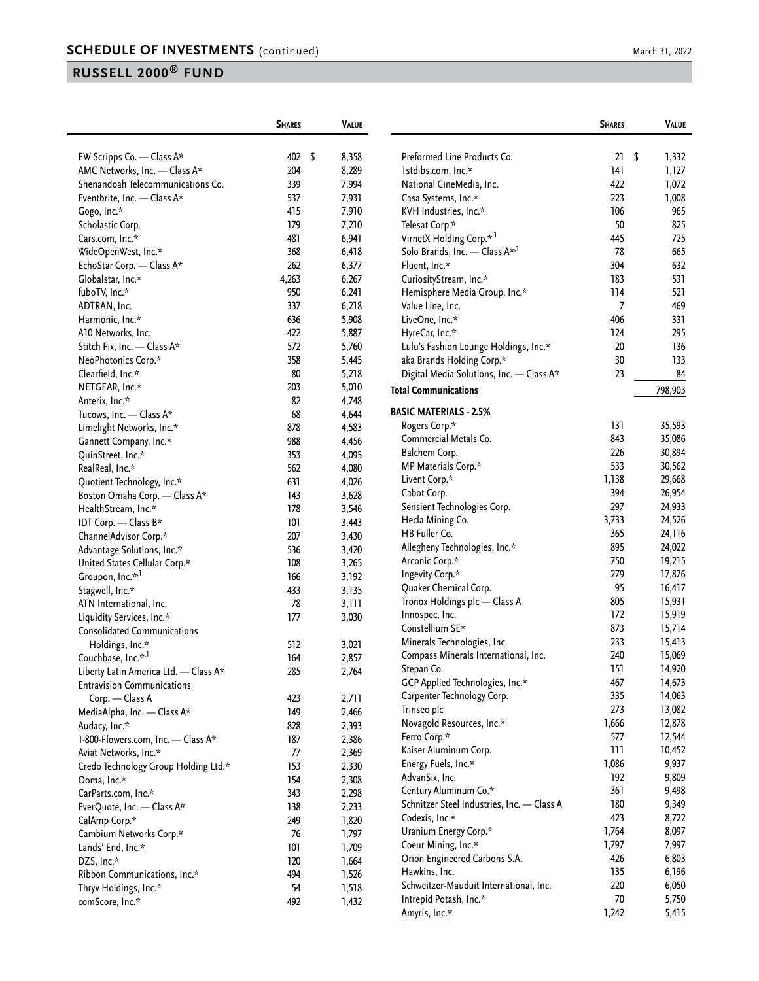|                                                             | <b>SHARES</b> | <b>VALUE</b>   |                                            | <b>SHARES</b>  | <b>VALUE</b> |
|-------------------------------------------------------------|---------------|----------------|--------------------------------------------|----------------|--------------|
| EW Scripps Co. - Class A*                                   | 402 \$        | 8,358          | Preformed Line Products Co.                | 21             | \$<br>1,332  |
| AMC Networks, Inc. - Class A*                               | 204           | 8,289          | 1stdibs.com, Inc.*                         | 141            | 1,127        |
| Shenandoah Telecommunications Co.                           | 339           | 7,994          | National CineMedia, Inc.                   | 422            | 1,072        |
| Eventbrite, Inc. - Class A*                                 | 537           | 7,931          | Casa Systems, Inc.*                        | 223            | 1,008        |
| Gogo, Inc.*                                                 | 415           | 7,910          | KVH Industries, Inc.*                      | 106            | 965          |
| Scholastic Corp.                                            | 179           | 7,210          | Telesat Corp.*                             | 50             | 825          |
| Cars.com, Inc.*                                             | 481           | 6,941          | VirnetX Holding Corp.* <sup>,1</sup>       | 445            | 725          |
| WideOpenWest, Inc.*                                         | 368           | 6,418          | Solo Brands, Inc. - Class A <sup>*,1</sup> | 78             | 665          |
| EchoStar Corp. - Class A*                                   | 262           | 6,377          | Fluent, Inc.*                              | 304            | 632          |
| Globalstar, Inc.*                                           | 4,263         | 6,267          | CuriosityStream, Inc.*                     | 183            | 531          |
| fuboTV, Inc.*                                               | 950           | 6,241          | Hemisphere Media Group, Inc.*              | 114            | 521          |
| ADTRAN, Inc.                                                | 337           | 6,218          | Value Line, Inc.                           | $\overline{7}$ | 469          |
| Harmonic, Inc.*                                             | 636           | 5,908          | LiveOne, Inc.*                             | 406            | 331          |
| A10 Networks, Inc.                                          | 422           | 5,887          | HyreCar, Inc.*                             | 124            | 295          |
| Stitch Fix, Inc. - Class A*                                 | 572           | 5,760          | Lulu's Fashion Lounge Holdings, Inc.*      | 20             | 136          |
| NeoPhotonics Corp.*                                         | 358           | 5,445          | aka Brands Holding Corp.*                  | 30             | 133          |
| Clearfield, Inc.*                                           | 80            | 5,218          | Digital Media Solutions, Inc. - Class A*   | 23             | 84           |
| NETGEAR, Inc.*                                              | 203           | 5,010          |                                            |                |              |
| Anterix, Inc.*                                              | 82            | 4,748          | <b>Total Communications</b>                |                | 798,903      |
| Tucows, Inc. - Class A*                                     | 68            | 4,644          | <b>BASIC MATERIALS - 2.5%</b>              |                |              |
| Limelight Networks, Inc.*                                   | 878           | 4,583          | Rogers Corp.*                              | 131            | 35,593       |
| Gannett Company, Inc.*                                      | 988           | 4,456          | Commercial Metals Co.                      | 843            | 35,086       |
| QuinStreet, Inc.*                                           | 353           | 4,095          | Balchem Corp.                              | 226            | 30,894       |
| RealReal, Inc.*                                             | 562           | 4,080          | MP Materials Corp.*                        | 533            | 30,562       |
| Quotient Technology, Inc.*                                  | 631           | 4,026          | Livent Corp.*                              | 1,138          | 29,668       |
| Boston Omaha Corp. - Class A*                               | 143           | 3,628          | Cabot Corp.                                | 394            | 26,954       |
| HealthStream, Inc.*                                         | 178           | 3,546          | Sensient Technologies Corp.                | 297            | 24,933       |
| IDT Corp. - Class B*                                        | 101           | 3,443          | Hecla Mining Co.                           | 3,733          | 24,526       |
| ChannelAdvisor Corp.*                                       | 207           | 3,430          | HB Fuller Co.                              | 365            | 24,116       |
| Advantage Solutions, Inc.*                                  | 536           | 3,420          | Allegheny Technologies, Inc.*              | 895            | 24,022       |
| United States Cellular Corp.*                               | 108           | 3,265          | Arconic Corp.*                             | 750            | 19,215       |
| Groupon, Inc.* <sup>,1</sup>                                | 166           | 3,192          | Ingevity Corp.*                            | 279            | 17,876       |
| Stagwell, Inc.*                                             | 433           | 3,135          | Quaker Chemical Corp.                      | 95             | 16,417       |
| ATN International, Inc.                                     | 78            | 3,111          | Tronox Holdings plc - Class A              | 805            | 15,931       |
| Liquidity Services, Inc.*                                   | 177           | 3,030          | Innospec, Inc.                             | 172            | 15,919       |
| <b>Consolidated Communications</b>                          |               |                | Constellium SE*                            | 873            | 15,714       |
| Holdings, Inc.*                                             | 512           | 3,021          | Minerals Technologies, Inc.                | 233            | 15,413       |
| Couchbase, Inc.* <sup>,1</sup>                              | 164           | 2,857          | Compass Minerals International, Inc.       | 240            | 15,069       |
| Liberty Latin America Ltd. - Class A*                       | 285           | 2,764          | Stepan Co.                                 | 151            | 14,920       |
| <b>Entravision Communications</b>                           |               |                | GCP Applied Technologies, Inc.*            | 467            | 14,673       |
| Corp. - Class A                                             | 423           | 2,711          | Carpenter Technology Corp.                 | 335            | 14,063       |
| MediaAlpha, Inc. - Class A*                                 | 149           | 2,466          | Trinseo plc                                | 273            | 13,082       |
| Audacy, Inc.*                                               | 828           | 2,393          | Novagold Resources, Inc.*                  | 1,666          | 12,878       |
|                                                             |               |                | Ferro Corp.*                               | 577            | 12,544       |
| 1-800-Flowers.com, Inc. - Class A*<br>Aviat Networks, Inc.* | 187           | 2,386          | Kaiser Aluminum Corp.                      | 111            | 10,452       |
|                                                             | 77<br>153     | 2,369          | Energy Fuels, Inc.*                        | 1,086          | 9,937        |
| Credo Technology Group Holding Ltd.*                        |               | 2,330          | AdvanSix, Inc.                             | 192            | 9,809        |
| Ooma, Inc.*                                                 | 154           | 2,308          | Century Aluminum Co.*                      | 361            | 9,498        |
| CarParts.com, Inc.*                                         | 343           | 2,298          | Schnitzer Steel Industries, Inc. - Class A | 180            | 9,349        |
| EverQuote, Inc. - Class A*                                  | 138           | 2,233<br>1,820 | Codexis, Inc.*                             | 423            | 8,722        |
| CalAmp Corp.*                                               | 249           |                | Uranium Energy Corp.*                      | 1,764          | 8,097        |
| Cambium Networks Corp.*                                     | 76            | 1,797          | Coeur Mining, Inc.*                        | 1,797          | 7,997        |
| Lands' End, Inc.*                                           | 101           | 1,709          | Orion Engineered Carbons S.A.              | 426            | 6,803        |
| DZS, Inc.*                                                  | 120           | 1,664          | Hawkins, Inc.                              | 135            | 6,196        |
| Ribbon Communications, Inc.*                                | 494           | 1,526          | Schweitzer-Mauduit International, Inc.     | 220            | 6,050        |
| Thryv Holdings, Inc.*                                       | 54            | 1,518          | Intrepid Potash, Inc.*                     | $70$           | 5,750        |
| comScore, Inc.*                                             | 492           | 1,432          | Amyris, Inc.*                              | 1,242          | 5,415        |
|                                                             |               |                |                                            |                |              |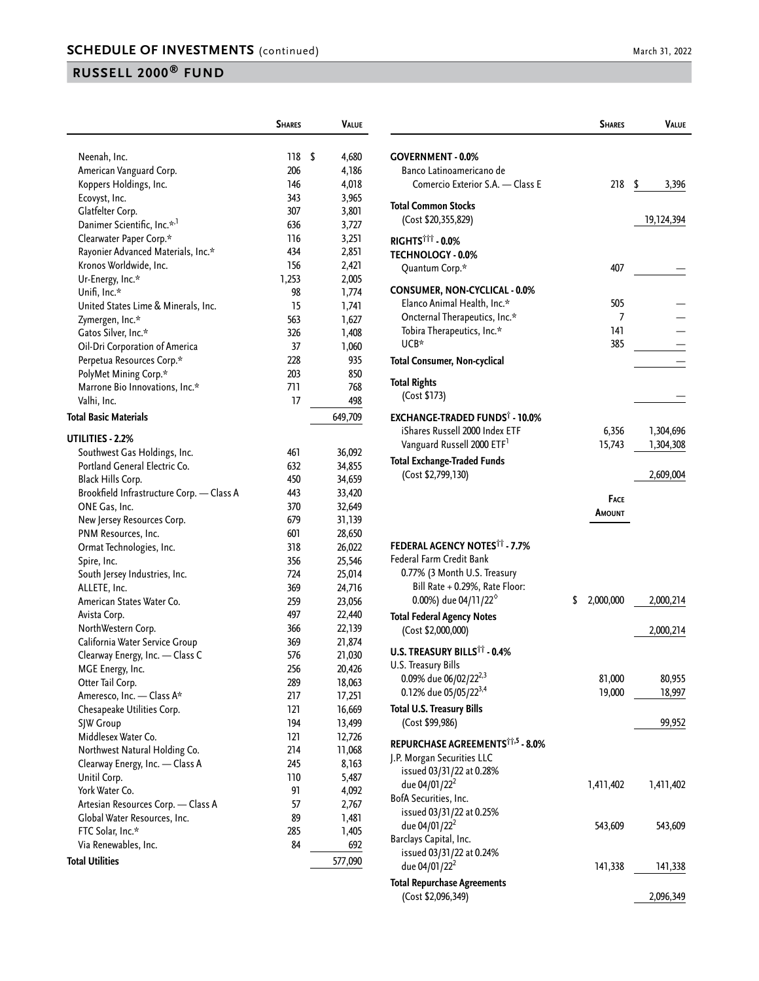|                                           | <b>SHARES</b> | <b>VALUE</b>     |
|-------------------------------------------|---------------|------------------|
|                                           |               |                  |
| Neenah, Inc.                              | 118           | \$<br>4,680      |
| American Vanguard Corp.                   | 206           | 4,186            |
| Koppers Holdings, Inc.                    | 146           | 4,018            |
| Ecovyst, Inc.                             | 343           | 3,965            |
| Glatfelter Corp.                          | 307           | 3,801            |
| Danimer Scientific, Inc.* <sup>,1</sup>   | 636           | 3,727            |
| Clearwater Paper Corp.*                   | 116           | 3,251            |
| Rayonier Advanced Materials, Inc.*        | 434           | 2,851            |
| Kronos Worldwide, Inc.                    | 156           | 2,421            |
| Ur-Energy, Inc.*                          | 1,253         | 2,005            |
| Unifi, Inc.*                              | 98            | 1,774            |
| United States Lime & Minerals, Inc.       | 15            | 1,741            |
| Zymergen, Inc.*                           | 563           | 1,627            |
| Gatos Silver, Inc.*                       | 326           | 1,408            |
| Oil-Dri Corporation of America            | 37            | 1,060            |
| Perpetua Resources Corp.*                 | 228           | 935              |
| PolyMet Mining Corp.*                     | 203           | 850              |
| Marrone Bio Innovations, Inc.*            | 711           | 768              |
| Valhi, Inc.                               | 17            | 498              |
| <b>Total Basic Materials</b>              |               | 649,709          |
|                                           |               |                  |
| UTILITIES - 2.2%                          |               |                  |
| Southwest Gas Holdings, Inc.              | 461           | 36,092           |
| Portland General Electric Co.             | 632           | 34,855           |
| Black Hills Corp.                         | 450           | 34,659           |
| Brookfield Infrastructure Corp. - Class A | 443           | 33,420           |
| ONE Gas, Inc.                             | 370           | 32,649           |
| New Jersey Resources Corp.                | 679           | 31,139           |
| PNM Resources, Inc.                       | 601<br>318    | 28,650<br>26,022 |
| Ormat Technologies, Inc.<br>Spire, Inc.   | 356           | 25,546           |
| South Jersey Industries, Inc.             | 724           | 25,014           |
| ALLETE, Inc.                              | 369           | 24,716           |
| American States Water Co.                 | 259           | 23,056           |
| Avista Corp.                              | 497           | 22,440           |
| NorthWestern Corp.                        | 366           | 22,139           |
| California Water Service Group            | 369           | 21,874           |
| Clearway Energy, Inc. - Class C           | 576           | 21,030           |
| MGE Energy, Inc.                          | 256           | 20,426           |
| Otter Tail Corp.                          | 289           | 18,063           |
| Ameresco, Inc. - Class A*                 | 217           | 17,251           |
| Chesapeake Utilities Corp.                | 121           | 16,669           |
| SJW Group                                 | 194           | 13,499           |
| Middlesex Water Co.                       | 121           | 12,726           |
| Northwest Natural Holding Co.             | 214           | 11,068           |
| Clearway Energy, Inc. - Class A           | 245           | 8,163            |
| Unitil Corp.                              | 110           | 5,487            |
| York Water Co.                            | 91            | 4,092            |
| Artesian Resources Corp. - Class A        | 57            | 2,767            |
| Global Water Resources, Inc.              | 89            | 1,481            |
| FTC Solar, Inc.*                          | 285           | 1,405            |
| Via Renewables, Inc.                      | 84            | 692              |
| <b>Total Utilities</b>                    |               | 577,090          |
|                                           |               |                  |

|                                                                                                                                                                                 | <b>SHARES</b>          | Value                               |
|---------------------------------------------------------------------------------------------------------------------------------------------------------------------------------|------------------------|-------------------------------------|
| <b>GOVERNMENT - 0.0%</b><br>Banco Latinoamericano de<br>Comercio Exterior S.A. - Class E                                                                                        | 218                    | \$<br>3,396                         |
| <b>Total Common Stocks</b><br>(Cost \$20,355,829)                                                                                                                               |                        | 19,124,394                          |
| RIGHTS <sup>†††</sup> - 0.0%<br><b>TECHNOLOGY - 0.0%</b><br>Quantum Corp.*                                                                                                      | 407                    |                                     |
| CONSUMER, NON-CYCLICAL - 0.0%<br>Elanco Animal Health, Inc.*<br>Oncternal Therapeutics, Inc.*<br>Tobira Therapeutics, Inc.*<br>UCB*<br>Total Consumer, Non-cyclical             | 505<br>7<br>141<br>385 |                                     |
| <b>Total Rights</b>                                                                                                                                                             |                        |                                     |
| (Cost \$173)                                                                                                                                                                    |                        |                                     |
| <b>EXCHANGE-TRADED FUNDS® - 10.0%</b><br>iShares Russell 2000 Index ETF<br>Vanguard Russell 2000 ETF <sup>1</sup><br><b>Total Exchange-Traded Funds</b><br>(Cost \$2,799,130)   | 6,356<br>15,743        | 1,304,696<br>1,304,308<br>2,609,004 |
|                                                                                                                                                                                 | <b>FACE</b>            |                                     |
|                                                                                                                                                                                 | <b>AMOUNT</b>          |                                     |
| <b>FEDERAL AGENCY NOTES<sup>11</sup> - 7.7%</b><br>Federal Farm Credit Bank<br>0.77% (3 Month U.S. Treasury<br>Bill Rate + 0.29%, Rate Floor:<br>0.00%) due 04/11/22 $^{\circ}$ | \$<br>2,000,000        | 2,000,214                           |
| <b>Total Federal Agency Notes</b><br>(Cost \$2,000,000)                                                                                                                         |                        | 2,000,214                           |
| <b>U.S. TREASURY BILLS<sup>TT</sup> - 0.4%</b><br>U.S. Treasury Bills                                                                                                           |                        |                                     |
| 0.09% due 06/02/22 <sup>2,3</sup><br>0.12% due 05/05/22 <sup>3,4</sup>                                                                                                          | 81,000<br>19,000       | 80,955<br>18,997                    |
| <b>Total U.S. Treasury Bills</b><br>(Cost \$99,986)                                                                                                                             |                        | 99,952                              |
| REPURCHASE AGREEMENTS <sup>††,5</sup> - 8.0%<br>J.P. Morgan Securities LLC                                                                                                      |                        |                                     |
| issued 03/31/22 at 0.28%<br>due 04/01/22 <sup>2</sup><br>BofA Securities, Inc.                                                                                                  | 1,411,402              | 1,411,402                           |
| issued 03/31/22 at 0.25%<br>due 04/01/22 <sup>2</sup><br>Barclays Capital, Inc.                                                                                                 | 543,609                | 543,609                             |
| issued 03/31/22 at 0.24%<br>due 04/01/22 <sup>2</sup>                                                                                                                           | 141,338                | 141,338                             |
| <b>Total Repurchase Agreements</b><br>(Cost \$2,096,349)                                                                                                                        |                        | 2,096,349                           |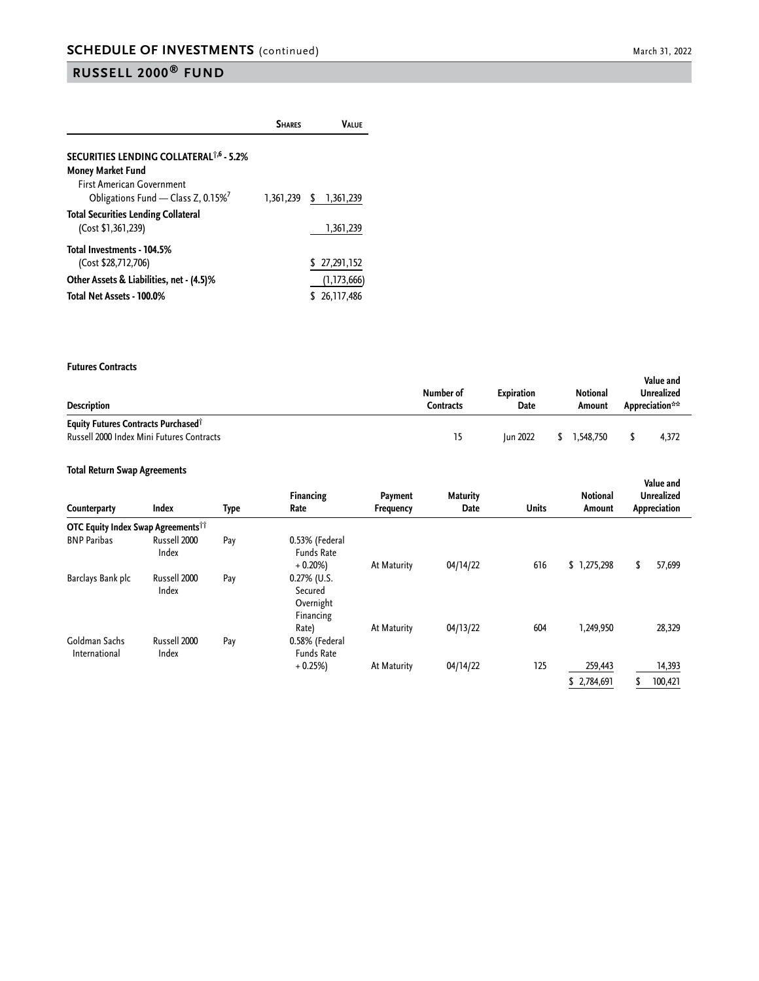|                                                                                    | <b>SHARES</b> | Valuf                       |
|------------------------------------------------------------------------------------|---------------|-----------------------------|
| SECURITIES LENDING COLLATERAL <sup>†,6</sup> - 5.2%<br><b>Money Market Fund</b>    |               |                             |
| <b>First American Government</b><br>Obligations Fund - Class Z, 0.15% <sup>7</sup> | 1,361,239     | \$1,361,239                 |
| <b>Total Securities Lending Collateral</b><br>(Cost \$1,361,239)                   |               | 1,361,239                   |
| Total Investments - 104.5%<br>(Cost \$28,712,706)                                  |               | \$27,291,152                |
| Other Assets & Liabilities, net - (4.5)%<br>Total Net Assets - 100.0%              |               | (1, 173, 666)<br>26,117,486 |

#### **Futures Contracts**

| <b>Description</b>                                                                                  | Number of<br>Contracts | <b>Expiration</b><br>Date | <b>Notional</b><br>Amount | Value and<br>Unrealized<br>Appreciation** |
|-----------------------------------------------------------------------------------------------------|------------------------|---------------------------|---------------------------|-------------------------------------------|
| <b>Equity Futures Contracts Purchased</b> <sup>1</sup><br>Russell 2000 Index Mini Futures Contracts | 15                     | <b>Iun 2022</b>           | 1.548.750                 | 4.372                                     |

#### **Total Return Swap Agreements**

| Counterparty                                   | Index                 | Type | <b>Financing</b><br>Rate                            | Payment<br><b>Frequency</b> | <b>Maturity</b><br>Date | <b>Units</b> | <b>Notional</b><br>Amount | Value and<br><b>Unrealized</b><br>Appreciation |
|------------------------------------------------|-----------------------|------|-----------------------------------------------------|-----------------------------|-------------------------|--------------|---------------------------|------------------------------------------------|
| OTC Equity Index Swap Agreements <sup>11</sup> |                       |      |                                                     |                             |                         |              |                           |                                                |
| <b>BNP Paribas</b>                             | Russell 2000<br>Index | Pay  | 0.53% (Federal<br><b>Funds Rate</b><br>$+0.20%$     | At Maturity                 | 04/14/22                | 616          | \$1,275,298               | 57,699<br>\$                                   |
| Barclays Bank plc                              | Russell 2000<br>Index | Pay  | $0.27\%$ (U.S.<br>Secured<br>Overnight<br>Financing |                             |                         |              |                           |                                                |
| Goldman Sachs<br>International                 | Russell 2000<br>Index | Pay  | Rate)<br>0.58% (Federal<br><b>Funds Rate</b>        | At Maturity                 | 04/13/22                | 604          | 1,249,950                 | 28,329                                         |
|                                                |                       |      | $+0.25%$                                            | At Maturity                 | 04/14/22                | 125          | 259,443                   | 14,393                                         |
|                                                |                       |      |                                                     |                             |                         |              | \$2,784,691               | 100,421                                        |